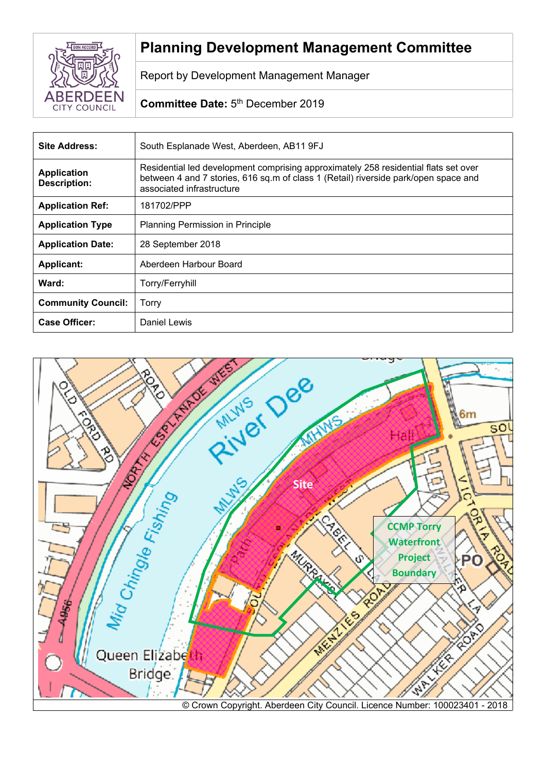

# **Planning Development Management Committee**

Report by Development Management Manager

# Committee Date: 5<sup>th</sup> December 2019

| <b>Site Address:</b>                      | South Esplanade West, Aberdeen, AB11 9FJ                                                                                                                                                                |
|-------------------------------------------|---------------------------------------------------------------------------------------------------------------------------------------------------------------------------------------------------------|
| <b>Application</b><br><b>Description:</b> | Residential led development comprising approximately 258 residential flats set over<br>between 4 and 7 stories, 616 sq.m of class 1 (Retail) riverside park/open space and<br>associated infrastructure |
| <b>Application Ref:</b>                   | 181702/PPP                                                                                                                                                                                              |
| <b>Application Type</b>                   | Planning Permission in Principle                                                                                                                                                                        |
| <b>Application Date:</b>                  | 28 September 2018                                                                                                                                                                                       |
| <b>Applicant:</b>                         | Aberdeen Harbour Board                                                                                                                                                                                  |
| Ward:                                     | Torry/Ferryhill                                                                                                                                                                                         |
| <b>Community Council:</b>                 | Torry                                                                                                                                                                                                   |
| <b>Case Officer:</b>                      | Daniel Lewis                                                                                                                                                                                            |

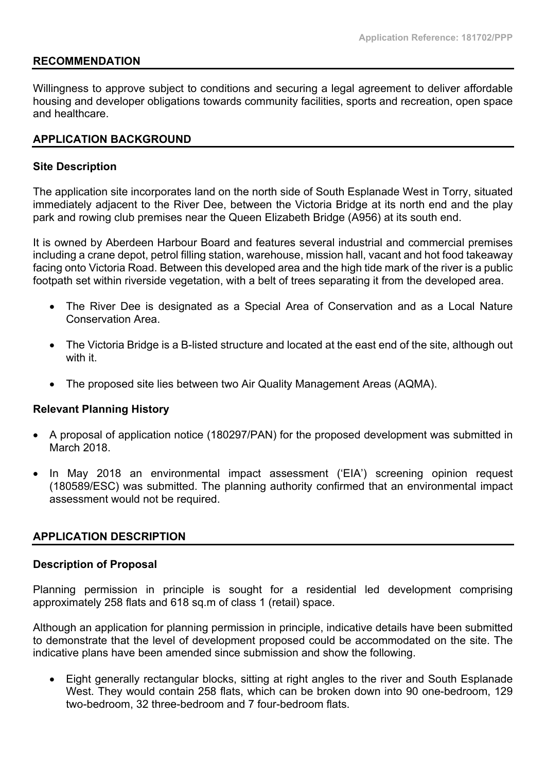#### **RECOMMENDATION**

Willingness to approve subject to conditions and securing a legal agreement to deliver affordable housing and developer obligations towards community facilities, sports and recreation, open space and healthcare.

### **APPLICATION BACKGROUND**

#### **Site Description**

The application site incorporates land on the north side of South Esplanade West in Torry, situated immediately adjacent to the River Dee, between the Victoria Bridge at its north end and the play park and rowing club premises near the Queen Elizabeth Bridge (A956) at its south end.

It is owned by Aberdeen Harbour Board and features several industrial and commercial premises including a crane depot, petrol filling station, warehouse, mission hall, vacant and hot food takeaway facing onto Victoria Road. Between this developed area and the high tide mark of the river is a public footpath set within riverside vegetation, with a belt of trees separating it from the developed area.

- The River Dee is designated as a Special Area of Conservation and as a Local Nature Conservation Area.
- The Victoria Bridge is a B-listed structure and located at the east end of the site, although out with it.
- The proposed site lies between two Air Quality Management Areas (AQMA).

#### **Relevant Planning History**

- A proposal of application notice (180297/PAN) for the proposed development was submitted in March 2018.
- In May 2018 an environmental impact assessment ('EIA') screening opinion request (180589/ESC) was submitted. The planning authority confirmed that an environmental impact assessment would not be required.

#### **APPLICATION DESCRIPTION**

#### **Description of Proposal**

Planning permission in principle is sought for a residential led development comprising approximately 258 flats and 618 sq.m of class 1 (retail) space.

Although an application for planning permission in principle, indicative details have been submitted to demonstrate that the level of development proposed could be accommodated on the site. The indicative plans have been amended since submission and show the following.

 Eight generally rectangular blocks, sitting at right angles to the river and South Esplanade West. They would contain 258 flats, which can be broken down into 90 one-bedroom, 129 two-bedroom, 32 three-bedroom and 7 four-bedroom flats.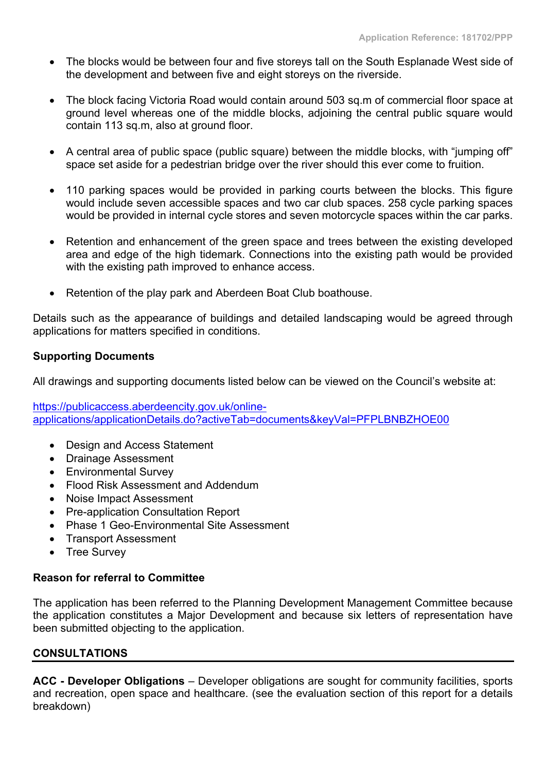- The blocks would be between four and five storeys tall on the South Esplanade West side of the development and between five and eight storeys on the riverside.
- The block facing Victoria Road would contain around 503 sq.m of commercial floor space at ground level whereas one of the middle blocks, adjoining the central public square would contain 113 sq.m, also at ground floor.
- A central area of public space (public square) between the middle blocks, with "jumping off" space set aside for a pedestrian bridge over the river should this ever come to fruition.
- 110 parking spaces would be provided in parking courts between the blocks. This figure would include seven accessible spaces and two car club spaces. 258 cycle parking spaces would be provided in internal cycle stores and seven motorcycle spaces within the car parks.
- Retention and enhancement of the green space and trees between the existing developed area and edge of the high tidemark. Connections into the existing path would be provided with the existing path improved to enhance access.
- Retention of the play park and Aberdeen Boat Club boathouse.

Details such as the appearance of buildings and detailed landscaping would be agreed through applications for matters specified in conditions.

### **Supporting Documents**

All drawings and supporting documents listed below can be viewed on the Council's website at:

[https://publicaccess.aberdeencity.gov.uk/online](https://publicaccess.aberdeencity.gov.uk/online-applications/applicationDetails.do?activeTab=documents&keyVal=PFPLBNBZHOE00)[applications/applicationDetails.do?activeTab=documents&keyVal=PFPLBNBZHOE00](https://publicaccess.aberdeencity.gov.uk/online-applications/applicationDetails.do?activeTab=documents&keyVal=PFPLBNBZHOE00) 

- Design and Access Statement
- Drainage Assessment
- Environmental Survey
- Flood Risk Assessment and Addendum
- Noise Impact Assessment
- Pre-application Consultation Report
- Phase 1 Geo-Environmental Site Assessment
- Transport Assessment
- Tree Survey

### **Reason for referral to Committee**

The application has been referred to the Planning Development Management Committee because the application constitutes a Major Development and because six letters of representation have been submitted objecting to the application.

### **CONSULTATIONS**

**ACC - Developer Obligations** – Developer obligations are sought for community facilities, sports and recreation, open space and healthcare. (see the evaluation section of this report for a details breakdown)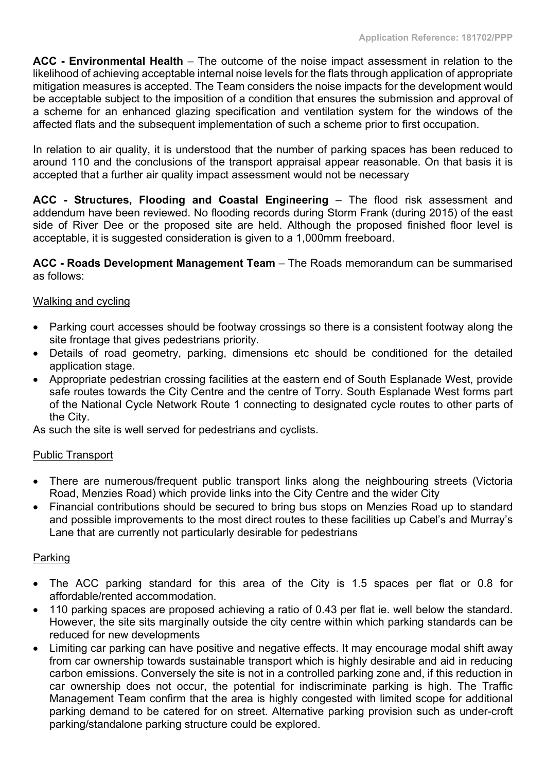**ACC - Environmental Health** – The outcome of the noise impact assessment in relation to the likelihood of achieving acceptable internal noise levels for the flats through application of appropriate mitigation measures is accepted. The Team considers the noise impacts for the development would be acceptable subject to the imposition of a condition that ensures the submission and approval of a scheme for an enhanced glazing specification and ventilation system for the windows of the affected flats and the subsequent implementation of such a scheme prior to first occupation.

In relation to air quality, it is understood that the number of parking spaces has been reduced to around 110 and the conclusions of the transport appraisal appear reasonable. On that basis it is accepted that a further air quality impact assessment would not be necessary

**ACC - Structures, Flooding and Coastal Engineering** – The flood risk assessment and addendum have been reviewed. No flooding records during Storm Frank (during 2015) of the east side of River Dee or the proposed site are held. Although the proposed finished floor level is acceptable, it is suggested consideration is given to a 1,000mm freeboard.

**ACC - Roads Development Management Team** – The Roads memorandum can be summarised as follows:

### Walking and cycling

- Parking court accesses should be footway crossings so there is a consistent footway along the site frontage that gives pedestrians priority.
- Details of road geometry, parking, dimensions etc should be conditioned for the detailed application stage.
- Appropriate pedestrian crossing facilities at the eastern end of South Esplanade West, provide safe routes towards the City Centre and the centre of Torry. South Esplanade West forms part of the National Cycle Network Route 1 connecting to designated cycle routes to other parts of the City.

As such the site is well served for pedestrians and cyclists.

### Public Transport

- There are numerous/frequent public transport links along the neighbouring streets (Victoria Road, Menzies Road) which provide links into the City Centre and the wider City
- Financial contributions should be secured to bring bus stops on Menzies Road up to standard and possible improvements to the most direct routes to these facilities up Cabel's and Murray's Lane that are currently not particularly desirable for pedestrians

### Parking

- The ACC parking standard for this area of the City is 1.5 spaces per flat or 0.8 for affordable/rented accommodation.
- 110 parking spaces are proposed achieving a ratio of 0.43 per flat ie. well below the standard. However, the site sits marginally outside the city centre within which parking standards can be reduced for new developments
- Limiting car parking can have positive and negative effects. It may encourage modal shift away from car ownership towards sustainable transport which is highly desirable and aid in reducing carbon emissions. Conversely the site is not in a controlled parking zone and, if this reduction in car ownership does not occur, the potential for indiscriminate parking is high. The Traffic Management Team confirm that the area is highly congested with limited scope for additional parking demand to be catered for on street. Alternative parking provision such as under-croft parking/standalone parking structure could be explored.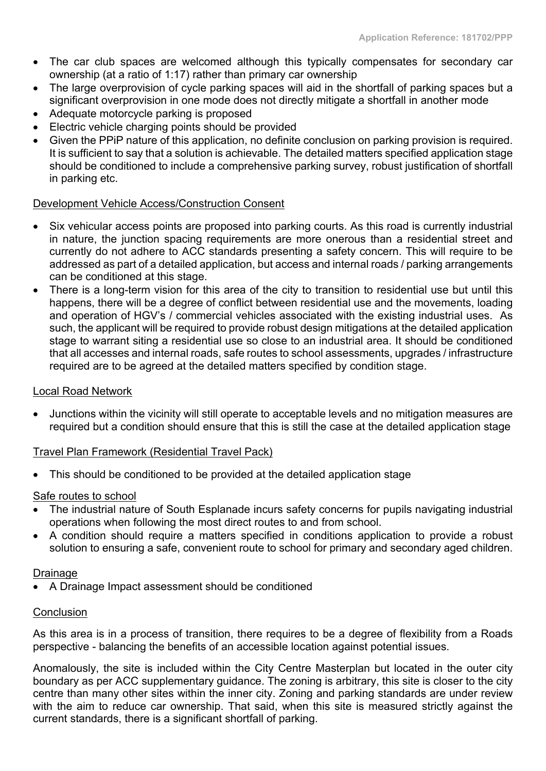- The car club spaces are welcomed although this typically compensates for secondary car ownership (at a ratio of 1:17) rather than primary car ownership
- The large overprovision of cycle parking spaces will aid in the shortfall of parking spaces but a significant overprovision in one mode does not directly mitigate a shortfall in another mode
- Adequate motorcycle parking is proposed
- Electric vehicle charging points should be provided
- Given the PPiP nature of this application, no definite conclusion on parking provision is required. It is sufficient to say that a solution is achievable. The detailed matters specified application stage should be conditioned to include a comprehensive parking survey, robust justification of shortfall in parking etc.

### Development Vehicle Access/Construction Consent

- Six vehicular access points are proposed into parking courts. As this road is currently industrial in nature, the junction spacing requirements are more onerous than a residential street and currently do not adhere to ACC standards presenting a safety concern. This will require to be addressed as part of a detailed application, but access and internal roads / parking arrangements can be conditioned at this stage.
- There is a long-term vision for this area of the city to transition to residential use but until this happens, there will be a degree of conflict between residential use and the movements, loading and operation of HGV's / commercial vehicles associated with the existing industrial uses. As such, the applicant will be required to provide robust design mitigations at the detailed application stage to warrant siting a residential use so close to an industrial area. It should be conditioned that all accesses and internal roads, safe routes to school assessments, upgrades / infrastructure required are to be agreed at the detailed matters specified by condition stage.

### Local Road Network

 Junctions within the vicinity will still operate to acceptable levels and no mitigation measures are required but a condition should ensure that this is still the case at the detailed application stage

### Travel Plan Framework (Residential Travel Pack)

This should be conditioned to be provided at the detailed application stage

### Safe routes to school

- The industrial nature of South Esplanade incurs safety concerns for pupils navigating industrial operations when following the most direct routes to and from school.
- A condition should require a matters specified in conditions application to provide a robust solution to ensuring a safe, convenient route to school for primary and secondary aged children.

### Drainage

A Drainage Impact assessment should be conditioned

### **Conclusion**

As this area is in a process of transition, there requires to be a degree of flexibility from a Roads perspective - balancing the benefits of an accessible location against potential issues.

Anomalously, the site is included within the City Centre Masterplan but located in the outer city boundary as per ACC supplementary guidance. The zoning is arbitrary, this site is closer to the city centre than many other sites within the inner city. Zoning and parking standards are under review with the aim to reduce car ownership. That said, when this site is measured strictly against the current standards, there is a significant shortfall of parking.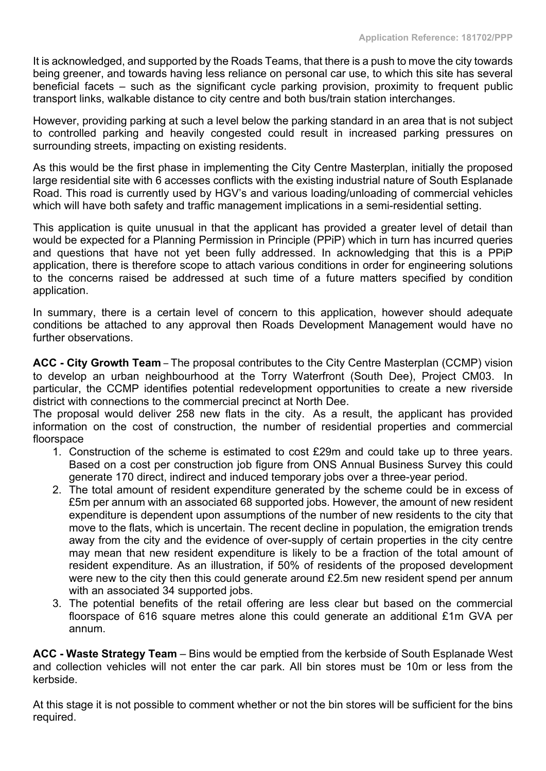It is acknowledged, and supported by the Roads Teams, that there is a push to move the city towards being greener, and towards having less reliance on personal car use, to which this site has several beneficial facets – such as the significant cycle parking provision, proximity to frequent public transport links, walkable distance to city centre and both bus/train station interchanges.

However, providing parking at such a level below the parking standard in an area that is not subject to controlled parking and heavily congested could result in increased parking pressures on surrounding streets, impacting on existing residents.

As this would be the first phase in implementing the City Centre Masterplan, initially the proposed large residential site with 6 accesses conflicts with the existing industrial nature of South Esplanade Road. This road is currently used by HGV's and various loading/unloading of commercial vehicles which will have both safety and traffic management implications in a semi-residential setting.

This application is quite unusual in that the applicant has provided a greater level of detail than would be expected for a Planning Permission in Principle (PPiP) which in turn has incurred queries and questions that have not yet been fully addressed. In acknowledging that this is a PPiP application, there is therefore scope to attach various conditions in order for engineering solutions to the concerns raised be addressed at such time of a future matters specified by condition application.

In summary, there is a certain level of concern to this application, however should adequate conditions be attached to any approval then Roads Development Management would have no further observations.

**ACC - City Growth Team** – The proposal contributes to the City Centre Masterplan (CCMP) vision to develop an urban neighbourhood at the Torry Waterfront (South Dee), Project CM03. In particular, the CCMP identifies potential redevelopment opportunities to create a new riverside district with connections to the commercial precinct at North Dee.

The proposal would deliver 258 new flats in the city. As a result, the applicant has provided information on the cost of construction, the number of residential properties and commercial floorspace

- 1. Construction of the scheme is estimated to cost £29m and could take up to three years. Based on a cost per construction job figure from ONS Annual Business Survey this could generate 170 direct, indirect and induced temporary jobs over a three-year period.
- 2. The total amount of resident expenditure generated by the scheme could be in excess of £5m per annum with an associated 68 supported jobs. However, the amount of new resident expenditure is dependent upon assumptions of the number of new residents to the city that move to the flats, which is uncertain. The recent decline in population, the emigration trends away from the city and the evidence of over-supply of certain properties in the city centre may mean that new resident expenditure is likely to be a fraction of the total amount of resident expenditure. As an illustration, if 50% of residents of the proposed development were new to the city then this could generate around £2.5m new resident spend per annum with an associated 34 supported jobs.
- 3. The potential benefits of the retail offering are less clear but based on the commercial floorspace of 616 square metres alone this could generate an additional £1m GVA per annum.

**ACC - Waste Strategy Team** – Bins would be emptied from the kerbside of South Esplanade West and collection vehicles will not enter the car park. All bin stores must be 10m or less from the kerbside.

At this stage it is not possible to comment whether or not the bin stores will be sufficient for the bins required.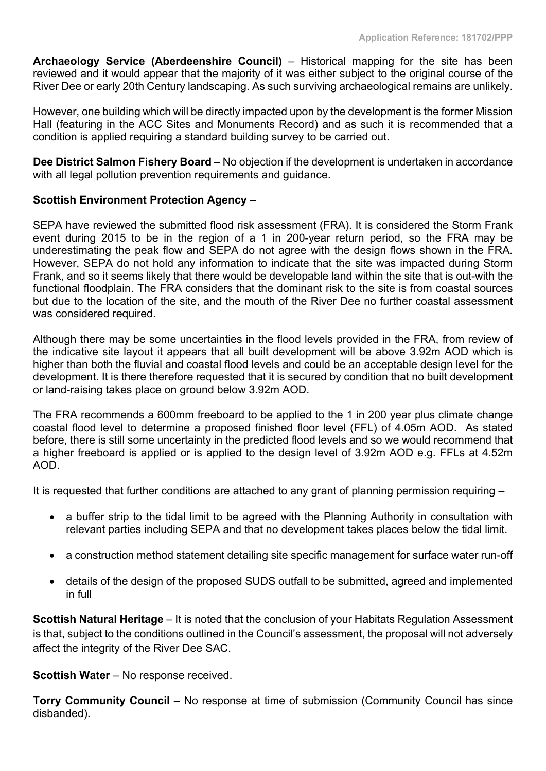**Archaeology Service (Aberdeenshire Council)** – Historical mapping for the site has been reviewed and it would appear that the majority of it was either subject to the original course of the River Dee or early 20th Century landscaping. As such surviving archaeological remains are unlikely.

However, one building which will be directly impacted upon by the development is the former Mission Hall (featuring in the ACC Sites and Monuments Record) and as such it is recommended that a condition is applied requiring a standard building survey to be carried out.

**Dee District Salmon Fishery Board** – No objection if the development is undertaken in accordance with all legal pollution prevention requirements and guidance.

### **Scottish Environment Protection Agency** –

SEPA have reviewed the submitted flood risk assessment (FRA). It is considered the Storm Frank event during 2015 to be in the region of a 1 in 200-year return period, so the FRA may be underestimating the peak flow and SEPA do not agree with the design flows shown in the FRA. However, SEPA do not hold any information to indicate that the site was impacted during Storm Frank, and so it seems likely that there would be developable land within the site that is out-with the functional floodplain. The FRA considers that the dominant risk to the site is from coastal sources but due to the location of the site, and the mouth of the River Dee no further coastal assessment was considered required.

Although there may be some uncertainties in the flood levels provided in the FRA, from review of the indicative site layout it appears that all built development will be above 3.92m AOD which is higher than both the fluvial and coastal flood levels and could be an acceptable design level for the development. It is there therefore requested that it is secured by condition that no built development or land-raising takes place on ground below 3.92m AOD.

The FRA recommends a 600mm freeboard to be applied to the 1 in 200 year plus climate change coastal flood level to determine a proposed finished floor level (FFL) of 4.05m AOD. As stated before, there is still some uncertainty in the predicted flood levels and so we would recommend that a higher freeboard is applied or is applied to the design level of 3.92m AOD e.g. FFLs at 4.52m AOD.

It is requested that further conditions are attached to any grant of planning permission requiring –

- a buffer strip to the tidal limit to be agreed with the Planning Authority in consultation with relevant parties including SEPA and that no development takes places below the tidal limit.
- a construction method statement detailing site specific management for surface water run-off
- details of the design of the proposed SUDS outfall to be submitted, agreed and implemented in full

**Scottish Natural Heritage** – It is noted that the conclusion of your Habitats Regulation Assessment is that, subject to the conditions outlined in the Council's assessment, the proposal will not adversely affect the integrity of the River Dee SAC.

**Scottish Water** – No response received.

**Torry Community Council** – No response at time of submission (Community Council has since disbanded).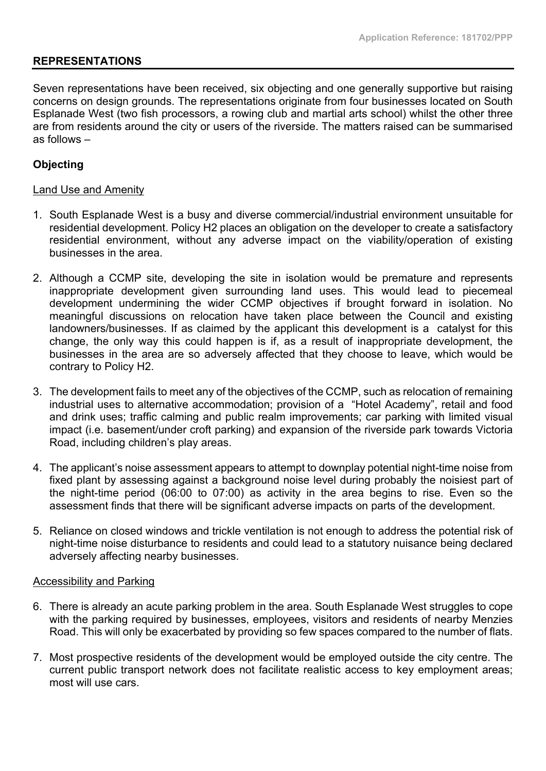### **REPRESENTATIONS**

Seven representations have been received, six objecting and one generally supportive but raising concerns on design grounds. The representations originate from four businesses located on South Esplanade West (two fish processors, a rowing club and martial arts school) whilst the other three are from residents around the city or users of the riverside. The matters raised can be summarised as follows –

### **Objecting**

#### Land Use and Amenity

- 1. South Esplanade West is a busy and diverse commercial/industrial environment unsuitable for residential development. Policy H2 places an obligation on the developer to create a satisfactory residential environment, without any adverse impact on the viability/operation of existing businesses in the area.
- 2. Although a CCMP site, developing the site in isolation would be premature and represents inappropriate development given surrounding land uses. This would lead to piecemeal development undermining the wider CCMP objectives if brought forward in isolation. No meaningful discussions on relocation have taken place between the Council and existing landowners/businesses. If as claimed by the applicant this development is a catalyst for this change, the only way this could happen is if, as a result of inappropriate development, the businesses in the area are so adversely affected that they choose to leave, which would be contrary to Policy H2.
- 3. The development fails to meet any of the objectives of the CCMP, such as relocation of remaining industrial uses to alternative accommodation; provision of a "Hotel Academy", retail and food and drink uses; traffic calming and public realm improvements; car parking with limited visual impact (i.e. basement/under croft parking) and expansion of the riverside park towards Victoria Road, including children's play areas.
- 4. The applicant's noise assessment appears to attempt to downplay potential night-time noise from fixed plant by assessing against a background noise level during probably the noisiest part of the night-time period (06:00 to 07:00) as activity in the area begins to rise. Even so the assessment finds that there will be significant adverse impacts on parts of the development.
- 5. Reliance on closed windows and trickle ventilation is not enough to address the potential risk of night-time noise disturbance to residents and could lead to a statutory nuisance being declared adversely affecting nearby businesses.

#### Accessibility and Parking

- 6. There is already an acute parking problem in the area. South Esplanade West struggles to cope with the parking required by businesses, employees, visitors and residents of nearby Menzies Road. This will only be exacerbated by providing so few spaces compared to the number of flats.
- 7. Most prospective residents of the development would be employed outside the city centre. The current public transport network does not facilitate realistic access to key employment areas; most will use cars.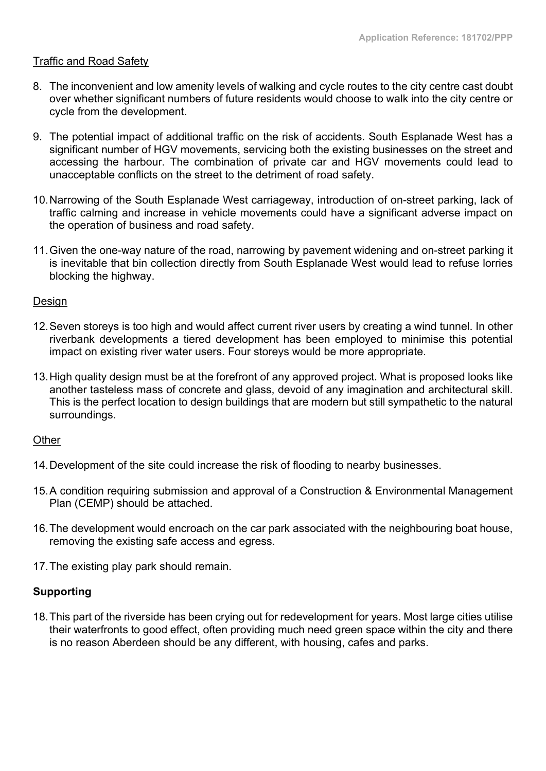### **Traffic and Road Safetv**

- 8. The inconvenient and low amenity levels of walking and cycle routes to the city centre cast doubt over whether significant numbers of future residents would choose to walk into the city centre or cycle from the development.
- 9. The potential impact of additional traffic on the risk of accidents. South Esplanade West has a significant number of HGV movements, servicing both the existing businesses on the street and accessing the harbour. The combination of private car and HGV movements could lead to unacceptable conflicts on the street to the detriment of road safety.
- 10.Narrowing of the South Esplanade West carriageway, introduction of on-street parking, lack of traffic calming and increase in vehicle movements could have a significant adverse impact on the operation of business and road safety.
- 11.Given the one-way nature of the road, narrowing by pavement widening and on-street parking it is inevitable that bin collection directly from South Esplanade West would lead to refuse lorries blocking the highway.

#### Design

- 12.Seven storeys is too high and would affect current river users by creating a wind tunnel. In other riverbank developments a tiered development has been employed to minimise this potential impact on existing river water users. Four storeys would be more appropriate.
- 13.High quality design must be at the forefront of any approved project. What is proposed looks like another tasteless mass of concrete and glass, devoid of any imagination and architectural skill. This is the perfect location to design buildings that are modern but still sympathetic to the natural surroundings.

### **Other**

- 14.Development of the site could increase the risk of flooding to nearby businesses.
- 15.A condition requiring submission and approval of a Construction & Environmental Management Plan (CEMP) should be attached.
- 16.The development would encroach on the car park associated with the neighbouring boat house, removing the existing safe access and egress.
- 17.The existing play park should remain.

### **Supporting**

18.This part of the riverside has been crying out for redevelopment for years. Most large cities utilise their waterfronts to good effect, often providing much need green space within the city and there is no reason Aberdeen should be any different, with housing, cafes and parks.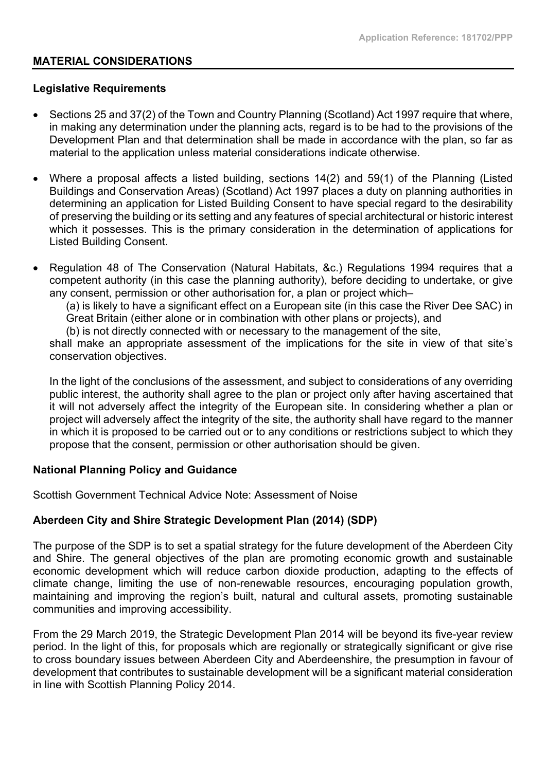### **MATERIAL CONSIDERATIONS**

#### **Legislative Requirements**

- Sections 25 and 37(2) of the Town and Country Planning (Scotland) Act 1997 require that where, in making any determination under the planning acts, regard is to be had to the provisions of the Development Plan and that determination shall be made in accordance with the plan, so far as material to the application unless material considerations indicate otherwise.
- Where a proposal affects a listed building, sections 14(2) and 59(1) of the Planning (Listed Buildings and Conservation Areas) (Scotland) Act 1997 places a duty on planning authorities in determining an application for Listed Building Consent to have special regard to the desirability of preserving the building or its setting and any features of special architectural or historic interest which it possesses. This is the primary consideration in the determination of applications for Listed Building Consent.
- Regulation 48 of The Conservation (Natural Habitats, &c.) Regulations 1994 requires that a competent authority (in this case the planning authority), before deciding to undertake, or give any consent, permission or other authorisation for, a plan or project which–

(a) is likely to have a significant effect on a European site (in this case the River Dee SAC) in Great Britain (either alone or in combination with other plans or projects), and

(b) is not directly connected with or necessary to the management of the site,

shall make an appropriate assessment of the implications for the site in view of that site's conservation objectives.

In the light of the conclusions of the assessment, and subject to considerations of any overriding public interest, the authority shall agree to the plan or project only after having ascertained that it will not adversely affect the integrity of the European site. In considering whether a plan or project will adversely affect the integrity of the site, the authority shall have regard to the manner in which it is proposed to be carried out or to any conditions or restrictions subject to which they propose that the consent, permission or other authorisation should be given.

### **National Planning Policy and Guidance**

Scottish Government Technical Advice Note: Assessment of Noise

### **Aberdeen City and Shire Strategic Development Plan (2014) (SDP)**

The purpose of the SDP is to set a spatial strategy for the future development of the Aberdeen City and Shire. The general objectives of the plan are promoting economic growth and sustainable economic development which will reduce carbon dioxide production, adapting to the effects of climate change, limiting the use of non-renewable resources, encouraging population growth, maintaining and improving the region's built, natural and cultural assets, promoting sustainable communities and improving accessibility.

From the 29 March 2019, the Strategic Development Plan 2014 will be beyond its five-year review period. In the light of this, for proposals which are regionally or strategically significant or give rise to cross boundary issues between Aberdeen City and Aberdeenshire, the presumption in favour of development that contributes to sustainable development will be a significant material consideration in line with Scottish Planning Policy 2014.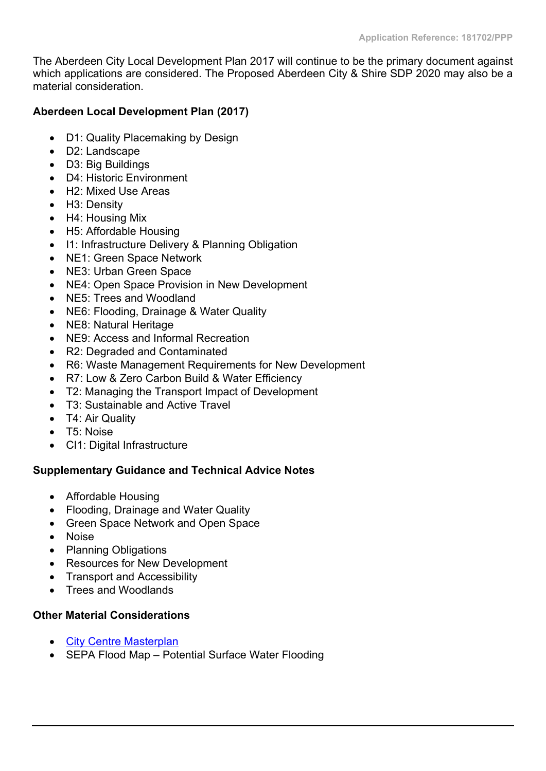The Aberdeen City Local Development Plan 2017 will continue to be the primary document against which applications are considered. The Proposed Aberdeen City & Shire SDP 2020 may also be a material consideration.

# **Aberdeen Local Development Plan (2017)**

- D1: Quality Placemaking by Design
- D2: Landscape
- D3: Big Buildings
- D4: Historic Environment
- H2: Mixed Use Areas
- H3: Density
- H4: Housing Mix
- H5: Affordable Housing
- I1: Infrastructure Delivery & Planning Obligation
- NE1: Green Space Network
- NE3: Urban Green Space
- NE4: Open Space Provision in New Development
- NE5: Trees and Woodland
- NE6: Flooding, Drainage & Water Quality
- NE8: Natural Heritage
- NE9: Access and Informal Recreation
- R2: Degraded and Contaminated
- R6: Waste Management Requirements for New Development
- R7: Low & Zero Carbon Build & Water Efficiency
- T2: Managing the Transport Impact of Development
- T3: Sustainable and Active Travel
- T4: Air Quality
- T5: Noise
- CI1: Digital Infrastructure

# **Supplementary Guidance and Technical Advice Notes**

- Affordable Housing
- Flooding, Drainage and Water Quality
- Green Space Network and Open Space
- Noise
- Planning Obligations
- Resources for New Development
- Transport and Accessibility
- Trees and Woodlands

# **Other Material Considerations**

- City Centre [Masterplan](https://aberdeencitycentremasterplan.files.wordpress.com/2016/12/masterplan-report.pdf)
- SEPA Flood Map Potential Surface Water Flooding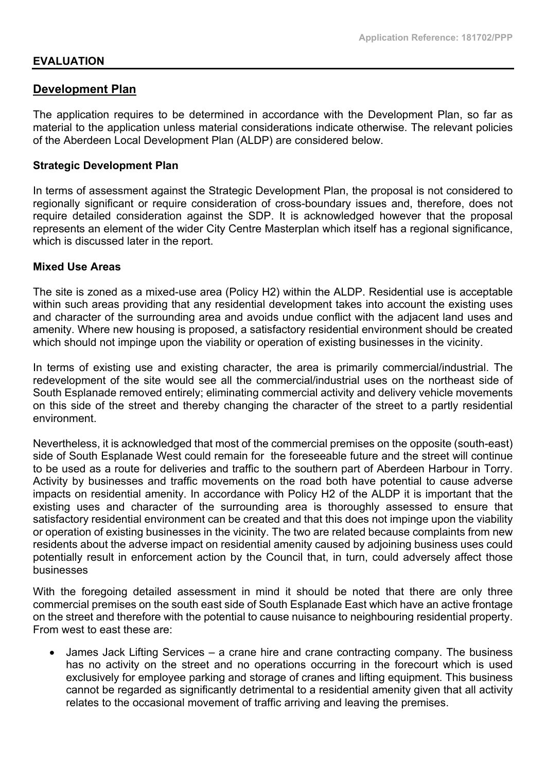### **EVALUATION**

### **Development Plan**

The application requires to be determined in accordance with the Development Plan, so far as material to the application unless material considerations indicate otherwise. The relevant policies of the Aberdeen Local Development Plan (ALDP) are considered below.

#### **Strategic Development Plan**

In terms of assessment against the Strategic Development Plan, the proposal is not considered to regionally significant or require consideration of cross-boundary issues and, therefore, does not require detailed consideration against the SDP. It is acknowledged however that the proposal represents an element of the wider City Centre Masterplan which itself has a regional significance, which is discussed later in the report.

#### **Mixed Use Areas**

The site is zoned as a mixed-use area (Policy H2) within the ALDP. Residential use is acceptable within such areas providing that any residential development takes into account the existing uses and character of the surrounding area and avoids undue conflict with the adjacent land uses and amenity. Where new housing is proposed, a satisfactory residential environment should be created which should not impinge upon the viability or operation of existing businesses in the vicinity.

In terms of existing use and existing character, the area is primarily commercial/industrial. The redevelopment of the site would see all the commercial/industrial uses on the northeast side of South Esplanade removed entirely; eliminating commercial activity and delivery vehicle movements on this side of the street and thereby changing the character of the street to a partly residential environment.

Nevertheless, it is acknowledged that most of the commercial premises on the opposite (south-east) side of South Esplanade West could remain for the foreseeable future and the street will continue to be used as a route for deliveries and traffic to the southern part of Aberdeen Harbour in Torry. Activity by businesses and traffic movements on the road both have potential to cause adverse impacts on residential amenity. In accordance with Policy H2 of the ALDP it is important that the existing uses and character of the surrounding area is thoroughly assessed to ensure that satisfactory residential environment can be created and that this does not impinge upon the viability or operation of existing businesses in the vicinity. The two are related because complaints from new residents about the adverse impact on residential amenity caused by adjoining business uses could potentially result in enforcement action by the Council that, in turn, could adversely affect those businesses

With the foregoing detailed assessment in mind it should be noted that there are only three commercial premises on the south east side of South Esplanade East which have an active frontage on the street and therefore with the potential to cause nuisance to neighbouring residential property. From west to east these are:

 James Jack Lifting Services – a crane hire and crane contracting company. The business has no activity on the street and no operations occurring in the forecourt which is used exclusively for employee parking and storage of cranes and lifting equipment. This business cannot be regarded as significantly detrimental to a residential amenity given that all activity relates to the occasional movement of traffic arriving and leaving the premises.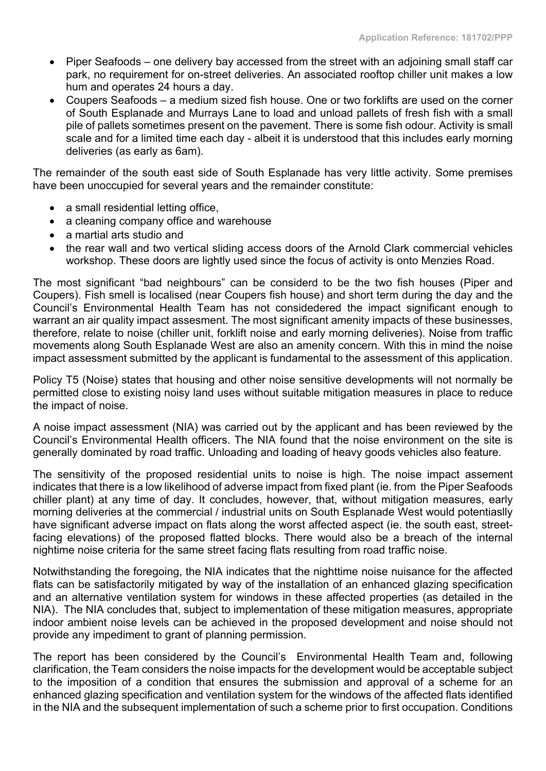- Piper Seafoods one delivery bay accessed from the street with an adjoining small staff car park, no requirement for on-street deliveries. An associated rooftop chiller unit makes a low hum and operates 24 hours a day.
- Coupers Seafoods a medium sized fish house. One or two forklifts are used on the corner of South Esplanade and Murrays Lane to load and unload pallets of fresh fish with a small pile of pallets sometimes present on the pavement. There is some fish odour. Activity is small scale and for a limited time each day - albeit it is understood that this includes early morning deliveries (as early as 6am).

The remainder of the south east side of South Esplanade has very little activity. Some premises have been unoccupied for several years and the remainder constitute:

- a small residential letting office,
- a cleaning company office and warehouse
- a martial arts studio and
- the rear wall and two vertical sliding access doors of the Arnold Clark commercial vehicles workshop. These doors are lightly used since the focus of activity is onto Menzies Road.

The most significant "bad neighbours" can be considerd to be the two fish houses (Piper and Coupers). Fish smell is localised (near Coupers fish house) and short term during the day and the Council's Environmental Health Team has not considedered the impact significant enough to warrant an air quality impact assesment. The most significant amenity impacts of these businesses, therefore, relate to noise (chiller unit, forklift noise and early morning deliveries). Noise from traffic movements along South Esplanade West are also an amenity concern. With this in mind the noise impact assessment submitted by the applicant is fundamental to the assessment of this application.

Policy T5 (Noise) states that housing and other noise sensitive developments will not normally be permitted close to existing noisy land uses without suitable mitigation measures in place to reduce the impact of noise.

A noise impact assessment (NIA) was carried out by the applicant and has been reviewed by the Council's Environmental Health officers. The NIA found that the noise environment on the site is generally dominated by road traffic. Unloading and loading of heavy goods vehicles also feature.

The sensitivity of the proposed residential units to noise is high. The noise impact assement indicates that there is a low likelihood of adverse impact from fixed plant (ie. from the Piper Seafoods chiller plant) at any time of day. It concludes, however, that, without mitigation measures, early morning deliveries at the commercial / industrial units on South Esplanade West would potentiaslly have significant adverse impact on flats along the worst affected aspect (ie. the south east, streetfacing elevations) of the proposed flatted blocks. There would also be a breach of the internal nightime noise criteria for the same street facing flats resulting from road traffic noise.

Notwithstanding the foregoing, the NIA indicates that the nighttime noise nuisance for the affected flats can be satisfactorily mitigated by way of the installation of an enhanced glazing specification and an alternative ventilation system for windows in these affected properties (as detailed in the NIA). The NIA concludes that, subject to implementation of these mitigation measures, appropriate indoor ambient noise levels can be achieved in the proposed development and noise should not provide any impediment to grant of planning permission.

The report has been considered by the Council's Environmental Health Team and, following clarification, the Team considers the noise impacts for the development would be acceptable subject to the imposition of a condition that ensures the submission and approval of a scheme for an enhanced glazing specification and ventilation system for the windows of the affected flats identified in the NIA and the subsequent implementation of such a scheme prior to first occupation. Conditions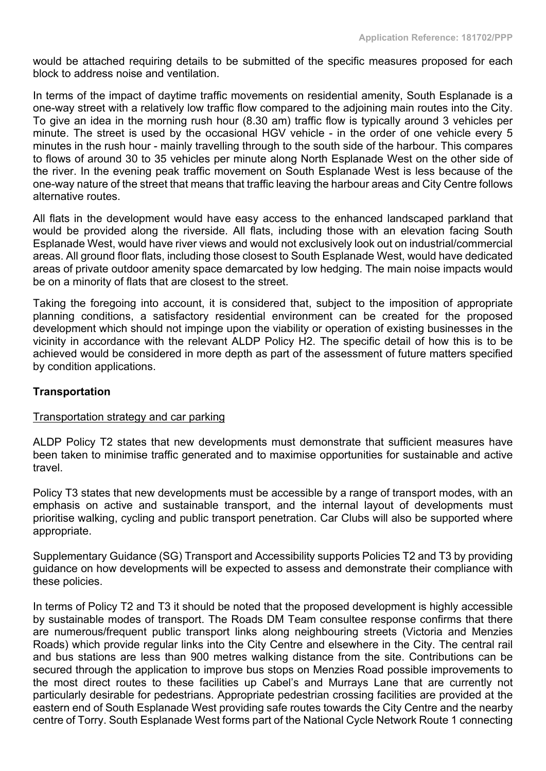would be attached requiring details to be submitted of the specific measures proposed for each block to address noise and ventilation.

In terms of the impact of daytime traffic movements on residential amenity, South Esplanade is a one-way street with a relatively low traffic flow compared to the adjoining main routes into the City. To give an idea in the morning rush hour (8.30 am) traffic flow is typically around 3 vehicles per minute. The street is used by the occasional HGV vehicle - in the order of one vehicle every 5 minutes in the rush hour - mainly travelling through to the south side of the harbour. This compares to flows of around 30 to 35 vehicles per minute along North Esplanade West on the other side of the river. In the evening peak traffic movement on South Esplanade West is less because of the one-way nature of the street that means that traffic leaving the harbour areas and City Centre follows alternative routes.

All flats in the development would have easy access to the enhanced landscaped parkland that would be provided along the riverside. All flats, including those with an elevation facing South Esplanade West, would have river views and would not exclusively look out on industrial/commercial areas. All ground floor flats, including those closest to South Esplanade West, would have dedicated areas of private outdoor amenity space demarcated by low hedging. The main noise impacts would be on a minority of flats that are closest to the street.

Taking the foregoing into account, it is considered that, subject to the imposition of appropriate planning conditions, a satisfactory residential environment can be created for the proposed development which should not impinge upon the viability or operation of existing businesses in the vicinity in accordance with the relevant ALDP Policy H2. The specific detail of how this is to be achieved would be considered in more depth as part of the assessment of future matters specified by condition applications.

### **Transportation**

### Transportation strategy and car parking

ALDP Policy T2 states that new developments must demonstrate that sufficient measures have been taken to minimise traffic generated and to maximise opportunities for sustainable and active travel.

Policy T3 states that new developments must be accessible by a range of transport modes, with an emphasis on active and sustainable transport, and the internal layout of developments must prioritise walking, cycling and public transport penetration. Car Clubs will also be supported where appropriate.

Supplementary Guidance (SG) Transport and Accessibility supports Policies T2 and T3 by providing guidance on how developments will be expected to assess and demonstrate their compliance with these policies.

In terms of Policy T2 and T3 it should be noted that the proposed development is highly accessible by sustainable modes of transport. The Roads DM Team consultee response confirms that there are numerous/frequent public transport links along neighbouring streets (Victoria and Menzies Roads) which provide regular links into the City Centre and elsewhere in the City. The central rail and bus stations are less than 900 metres walking distance from the site. Contributions can be secured through the application to improve bus stops on Menzies Road possible improvements to the most direct routes to these facilities up Cabel's and Murrays Lane that are currently not particularly desirable for pedestrians. Appropriate pedestrian crossing facilities are provided at the eastern end of South Esplanade West providing safe routes towards the City Centre and the nearby centre of Torry. South Esplanade West forms part of the National Cycle Network Route 1 connecting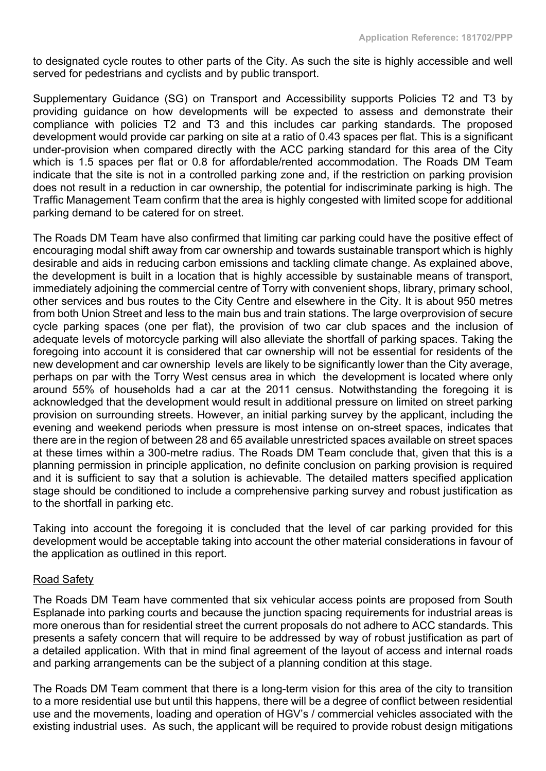to designated cycle routes to other parts of the City. As such the site is highly accessible and well served for pedestrians and cyclists and by public transport.

Supplementary Guidance (SG) on Transport and Accessibility supports Policies T2 and T3 by providing guidance on how developments will be expected to assess and demonstrate their compliance with policies T2 and T3 and this includes car parking standards. The proposed development would provide car parking on site at a ratio of 0.43 spaces per flat. This is a significant under-provision when compared directly with the ACC parking standard for this area of the City which is 1.5 spaces per flat or 0.8 for affordable/rented accommodation. The Roads DM Team indicate that the site is not in a controlled parking zone and, if the restriction on parking provision does not result in a reduction in car ownership, the potential for indiscriminate parking is high. The Traffic Management Team confirm that the area is highly congested with limited scope for additional parking demand to be catered for on street.

The Roads DM Team have also confirmed that limiting car parking could have the positive effect of encouraging modal shift away from car ownership and towards sustainable transport which is highly desirable and aids in reducing carbon emissions and tackling climate change. As explained above, the development is built in a location that is highly accessible by sustainable means of transport, immediately adjoining the commercial centre of Torry with convenient shops, library, primary school, other services and bus routes to the City Centre and elsewhere in the City. It is about 950 metres from both Union Street and less to the main bus and train stations. The large overprovision of secure cycle parking spaces (one per flat), the provision of two car club spaces and the inclusion of adequate levels of motorcycle parking will also alleviate the shortfall of parking spaces. Taking the foregoing into account it is considered that car ownership will not be essential for residents of the new development and car ownership levels are likely to be significantly lower than the City average, perhaps on par with the Torry West census area in which the development is located where only around 55% of households had a car at the 2011 census. Notwithstanding the foregoing it is acknowledged that the development would result in additional pressure on limited on street parking provision on surrounding streets. However, an initial parking survey by the applicant, including the evening and weekend periods when pressure is most intense on on-street spaces, indicates that there are in the region of between 28 and 65 available unrestricted spaces available on street spaces at these times within a 300-metre radius. The Roads DM Team conclude that, given that this is a planning permission in principle application, no definite conclusion on parking provision is required and it is sufficient to say that a solution is achievable. The detailed matters specified application stage should be conditioned to include a comprehensive parking survey and robust justification as to the shortfall in parking etc.

Taking into account the foregoing it is concluded that the level of car parking provided for this development would be acceptable taking into account the other material considerations in favour of the application as outlined in this report.

### Road Safety

The Roads DM Team have commented that six vehicular access points are proposed from South Esplanade into parking courts and because the junction spacing requirements for industrial areas is more onerous than for residential street the current proposals do not adhere to ACC standards. This presents a safety concern that will require to be addressed by way of robust justification as part of a detailed application. With that in mind final agreement of the layout of access and internal roads and parking arrangements can be the subject of a planning condition at this stage.

The Roads DM Team comment that there is a long-term vision for this area of the city to transition to a more residential use but until this happens, there will be a degree of conflict between residential use and the movements, loading and operation of HGV's / commercial vehicles associated with the existing industrial uses. As such, the applicant will be required to provide robust design mitigations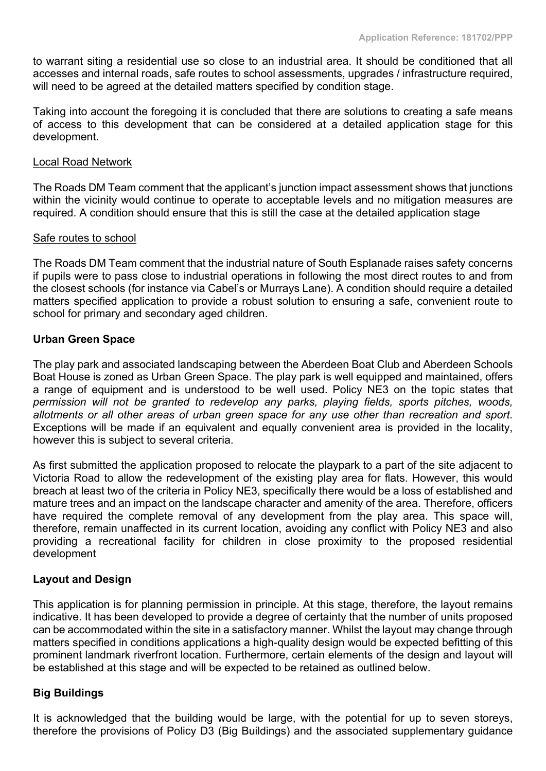to warrant siting a residential use so close to an industrial area. It should be conditioned that all accesses and internal roads, safe routes to school assessments, upgrades / infrastructure required, will need to be agreed at the detailed matters specified by condition stage.

Taking into account the foregoing it is concluded that there are solutions to creating a safe means of access to this development that can be considered at a detailed application stage for this development.

#### Local Road Network

The Roads DM Team comment that the applicant's junction impact assessment shows that junctions within the vicinity would continue to operate to acceptable levels and no mitigation measures are required. A condition should ensure that this is still the case at the detailed application stage

#### Safe routes to school

The Roads DM Team comment that the industrial nature of South Esplanade raises safety concerns if pupils were to pass close to industrial operations in following the most direct routes to and from the closest schools (for instance via Cabel's or Murrays Lane). A condition should require a detailed matters specified application to provide a robust solution to ensuring a safe, convenient route to school for primary and secondary aged children.

### **Urban Green Space**

The play park and associated landscaping between the Aberdeen Boat Club and Aberdeen Schools Boat House is zoned as Urban Green Space. The play park is well equipped and maintained, offers a range of equipment and is understood to be well used. Policy NE3 on the topic states that *permission will not be granted to redevelop any parks, playing fields, sports pitches, woods, allotments or all other areas of urban green space for any use other than recreation and sport.* Exceptions will be made if an equivalent and equally convenient area is provided in the locality, however this is subject to several criteria.

As first submitted the application proposed to relocate the playpark to a part of the site adjacent to Victoria Road to allow the redevelopment of the existing play area for flats. However, this would breach at least two of the criteria in Policy NE3, specifically there would be a loss of established and mature trees and an impact on the landscape character and amenity of the area. Therefore, officers have required the complete removal of any development from the play area. This space will, therefore, remain unaffected in its current location, avoiding any conflict with Policy NE3 and also providing a recreational facility for children in close proximity to the proposed residential development

### **Layout and Design**

This application is for planning permission in principle. At this stage, therefore, the layout remains indicative. It has been developed to provide a degree of certainty that the number of units proposed can be accommodated within the site in a satisfactory manner. Whilst the layout may change through matters specified in conditions applications a high-quality design would be expected befitting of this prominent landmark riverfront location. Furthermore, certain elements of the design and layout will be established at this stage and will be expected to be retained as outlined below.

### **Big Buildings**

It is acknowledged that the building would be large, with the potential for up to seven storeys, therefore the provisions of Policy D3 (Big Buildings) and the associated supplementary guidance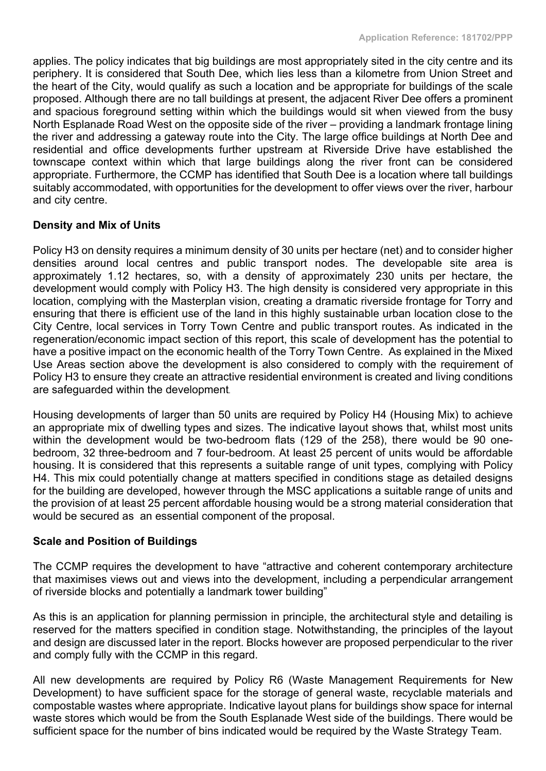applies. The policy indicates that big buildings are most appropriately sited in the city centre and its periphery. It is considered that South Dee, which lies less than a kilometre from Union Street and the heart of the City, would qualify as such a location and be appropriate for buildings of the scale proposed. Although there are no tall buildings at present, the adjacent River Dee offers a prominent and spacious foreground setting within which the buildings would sit when viewed from the busy North Esplanade Road West on the opposite side of the river – providing a landmark frontage lining the river and addressing a gateway route into the City. The large office buildings at North Dee and residential and office developments further upstream at Riverside Drive have established the townscape context within which that large buildings along the river front can be considered appropriate. Furthermore, the CCMP has identified that South Dee is a location where tall buildings suitably accommodated, with opportunities for the development to offer views over the river, harbour and city centre.

### **Density and Mix of Units**

Policy H3 on density requires a minimum density of 30 units per hectare (net) and to consider higher densities around local centres and public transport nodes. The developable site area is approximately 1.12 hectares, so, with a density of approximately 230 units per hectare, the development would comply with Policy H3. The high density is considered very appropriate in this location, complying with the Masterplan vision, creating a dramatic riverside frontage for Torry and ensuring that there is efficient use of the land in this highly sustainable urban location close to the City Centre, local services in Torry Town Centre and public transport routes. As indicated in the regeneration/economic impact section of this report, this scale of development has the potential to have a positive impact on the economic health of the Torry Town Centre. As explained in the Mixed Use Areas section above the development is also considered to comply with the requirement of Policy H3 to ensure they create an attractive residential environment is created and living conditions are safeguarded within the development.

Housing developments of larger than 50 units are required by Policy H4 (Housing Mix) to achieve an appropriate mix of dwelling types and sizes. The indicative layout shows that, whilst most units within the development would be two-bedroom flats (129 of the 258), there would be 90 onebedroom, 32 three-bedroom and 7 four-bedroom. At least 25 percent of units would be affordable housing. It is considered that this represents a suitable range of unit types, complying with Policy H4. This mix could potentially change at matters specified in conditions stage as detailed designs for the building are developed, however through the MSC applications a suitable range of units and the provision of at least 25 percent affordable housing would be a strong material consideration that would be secured as an essential component of the proposal.

### **Scale and Position of Buildings**

The CCMP requires the development to have "attractive and coherent contemporary architecture that maximises views out and views into the development, including a perpendicular arrangement of riverside blocks and potentially a landmark tower building"

As this is an application for planning permission in principle, the architectural style and detailing is reserved for the matters specified in condition stage. Notwithstanding, the principles of the layout and design are discussed later in the report. Blocks however are proposed perpendicular to the river and comply fully with the CCMP in this regard.

All new developments are required by Policy R6 (Waste Management Requirements for New Development) to have sufficient space for the storage of general waste, recyclable materials and compostable wastes where appropriate. Indicative layout plans for buildings show space for internal waste stores which would be from the South Esplanade West side of the buildings. There would be sufficient space for the number of bins indicated would be required by the Waste Strategy Team.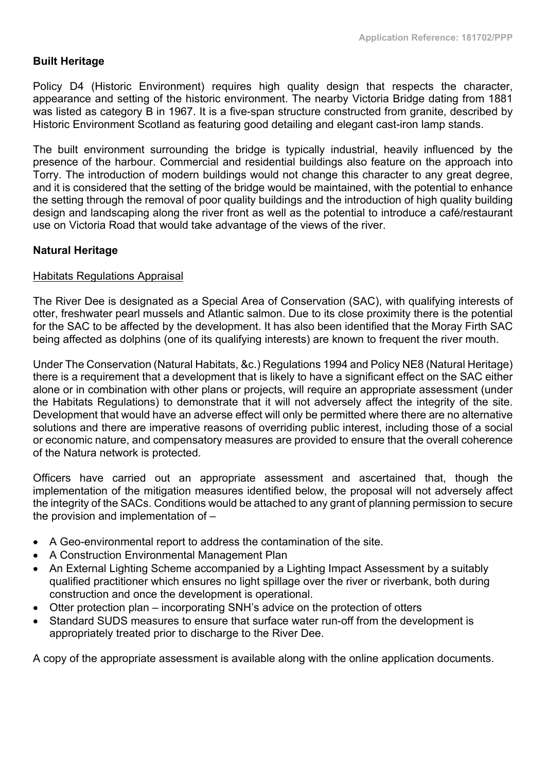# **Built Heritage**

Policy D4 (Historic Environment) requires high quality design that respects the character, appearance and setting of the historic environment. The nearby Victoria Bridge dating from 1881 was listed as category B in 1967. It is a five-span structure constructed from granite, described by Historic Environment Scotland as featuring good detailing and elegant cast-iron lamp stands.

The built environment surrounding the bridge is typically industrial, heavily influenced by the presence of the harbour. Commercial and residential buildings also feature on the approach into Torry. The introduction of modern buildings would not change this character to any great degree, and it is considered that the setting of the bridge would be maintained, with the potential to enhance the setting through the removal of poor quality buildings and the introduction of high quality building design and landscaping along the river front as well as the potential to introduce a café/restaurant use on Victoria Road that would take advantage of the views of the river.

### **Natural Heritage**

#### Habitats Regulations Appraisal

The River Dee is designated as a Special Area of Conservation (SAC), with qualifying interests of otter, freshwater pearl mussels and Atlantic salmon. Due to its close proximity there is the potential for the SAC to be affected by the development. It has also been identified that the Moray Firth SAC being affected as dolphins (one of its qualifying interests) are known to frequent the river mouth.

Under The Conservation (Natural Habitats, &c.) Regulations 1994 and Policy NE8 (Natural Heritage) there is a requirement that a development that is likely to have a significant effect on the SAC either alone or in combination with other plans or projects, will require an appropriate assessment (under the Habitats Regulations) to demonstrate that it will not adversely affect the integrity of the site. Development that would have an adverse effect will only be permitted where there are no alternative solutions and there are imperative reasons of overriding public interest, including those of a social or economic nature, and compensatory measures are provided to ensure that the overall coherence of the Natura network is protected.

Officers have carried out an appropriate assessment and ascertained that, though the implementation of the mitigation measures identified below, the proposal will not adversely affect the integrity of the SACs. Conditions would be attached to any grant of planning permission to secure the provision and implementation of –

- A Geo-environmental report to address the contamination of the site.
- A Construction Environmental Management Plan
- An External Lighting Scheme accompanied by a Lighting Impact Assessment by a suitably qualified practitioner which ensures no light spillage over the river or riverbank, both during construction and once the development is operational.
- Otter protection plan incorporating SNH's advice on the protection of otters
- Standard SUDS measures to ensure that surface water run-off from the development is appropriately treated prior to discharge to the River Dee.

A copy of the appropriate assessment is available along with the online application documents.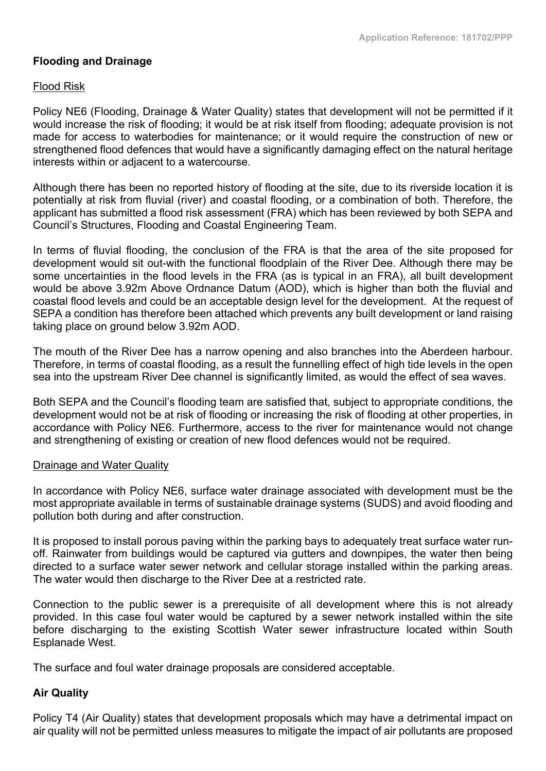# **Flooding and Drainage**

### Flood Risk

Policy NE6 (Flooding, Drainage & Water Quality) states that development will not be permitted if it would increase the risk of flooding; it would be at risk itself from flooding; adequate provision is not made for access to waterbodies for maintenance; or it would require the construction of new or strengthened flood defences that would have a significantly damaging effect on the natural heritage interests within or adjacent to a watercourse.

Although there has been no reported history of flooding at the site, due to its riverside location it is potentially at risk from fluvial (river) and coastal flooding, or a combination of both. Therefore, the applicant has submitted a flood risk assessment (FRA) which has been reviewed by both SEPA and Council's Structures, Flooding and Coastal Engineering Team.

In terms of fluvial flooding, the conclusion of the FRA is that the area of the site proposed for development would sit out-with the functional floodplain of the River Dee. Although there may be some uncertainties in the flood levels in the FRA (as is typical in an FRA), all built development would be above 3.92m Above Ordnance Datum (AOD), which is higher than both the fluvial and coastal flood levels and could be an acceptable design level for the development. At the request of SEPA a condition has therefore been attached which prevents any built development or land raising taking place on ground below 3.92m AOD.

The mouth of the River Dee has a narrow opening and also branches into the Aberdeen harbour. Therefore, in terms of coastal flooding, as a result the funnelling effect of high tide levels in the open sea into the upstream River Dee channel is significantly limited, as would the effect of sea waves.

Both SEPA and the Council's flooding team are satisfied that, subject to appropriate conditions, the development would not be at risk of flooding or increasing the risk of flooding at other properties, in accordance with Policy NE6. Furthermore, access to the river for maintenance would not change and strengthening of existing or creation of new flood defences would not be required.

#### Drainage and Water Quality

In accordance with Policy NE6, surface water drainage associated with development must be the most appropriate available in terms of sustainable drainage systems (SUDS) and avoid flooding and pollution both during and after construction.

It is proposed to install porous paving within the parking bays to adequately treat surface water runoff. Rainwater from buildings would be captured via gutters and downpipes, the water then being directed to a surface water sewer network and cellular storage installed within the parking areas. The water would then discharge to the River Dee at a restricted rate.

Connection to the public sewer is a prerequisite of all development where this is not already provided. In this case foul water would be captured by a sewer network installed within the site before discharging to the existing Scottish Water sewer infrastructure located within South Esplanade West.

The surface and foul water drainage proposals are considered acceptable.

### **Air Quality**

Policy T4 (Air Quality) states that development proposals which may have a detrimental impact on air quality will not be permitted unless measures to mitigate the impact of air pollutants are proposed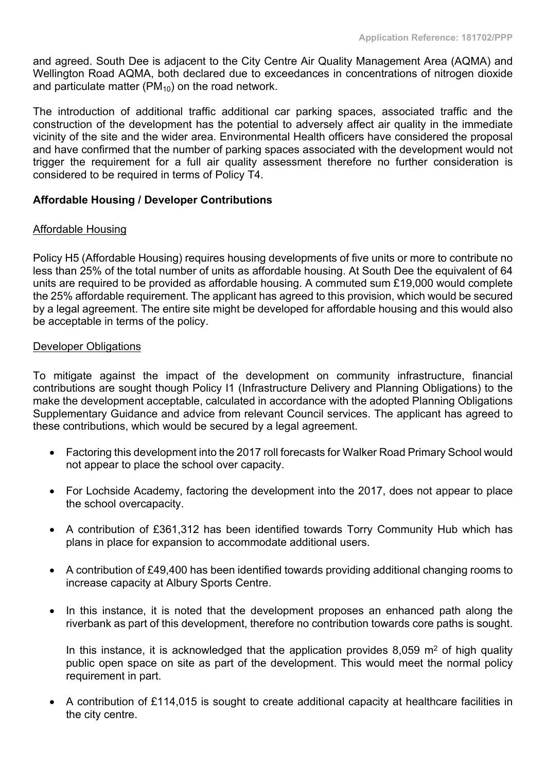and agreed. South Dee is adjacent to the City Centre Air Quality Management Area (AQMA) and Wellington Road AQMA, both declared due to exceedances in concentrations of nitrogen dioxide and particulate matter ( $PM_{10}$ ) on the road network.

The introduction of additional traffic additional car parking spaces, associated traffic and the construction of the development has the potential to adversely affect air quality in the immediate vicinity of the site and the wider area. Environmental Health officers have considered the proposal and have confirmed that the number of parking spaces associated with the development would not trigger the requirement for a full air quality assessment therefore no further consideration is considered to be required in terms of Policy T4.

### **Affordable Housing / Developer Contributions**

### Affordable Housing

Policy H5 (Affordable Housing) requires housing developments of five units or more to contribute no less than 25% of the total number of units as affordable housing. At South Dee the equivalent of 64 units are required to be provided as affordable housing. A commuted sum £19,000 would complete the 25% affordable requirement. The applicant has agreed to this provision, which would be secured by a legal agreement. The entire site might be developed for affordable housing and this would also be acceptable in terms of the policy.

#### Developer Obligations

To mitigate against the impact of the development on community infrastructure, financial contributions are sought though Policy I1 (Infrastructure Delivery and Planning Obligations) to the make the development acceptable, calculated in accordance with the adopted Planning Obligations Supplementary Guidance and advice from relevant Council services. The applicant has agreed to these contributions, which would be secured by a legal agreement.

- Factoring this development into the 2017 roll forecasts for Walker Road Primary School would not appear to place the school over capacity.
- For Lochside Academy, factoring the development into the 2017, does not appear to place the school overcapacity.
- A contribution of £361,312 has been identified towards Torry Community Hub which has plans in place for expansion to accommodate additional users.
- A contribution of £49,400 has been identified towards providing additional changing rooms to increase capacity at Albury Sports Centre.
- In this instance, it is noted that the development proposes an enhanced path along the riverbank as part of this development, therefore no contribution towards core paths is sought.

In this instance, it is acknowledged that the application provides 8,059  $m<sup>2</sup>$  of high quality public open space on site as part of the development. This would meet the normal policy requirement in part.

 A contribution of £114,015 is sought to create additional capacity at healthcare facilities in the city centre.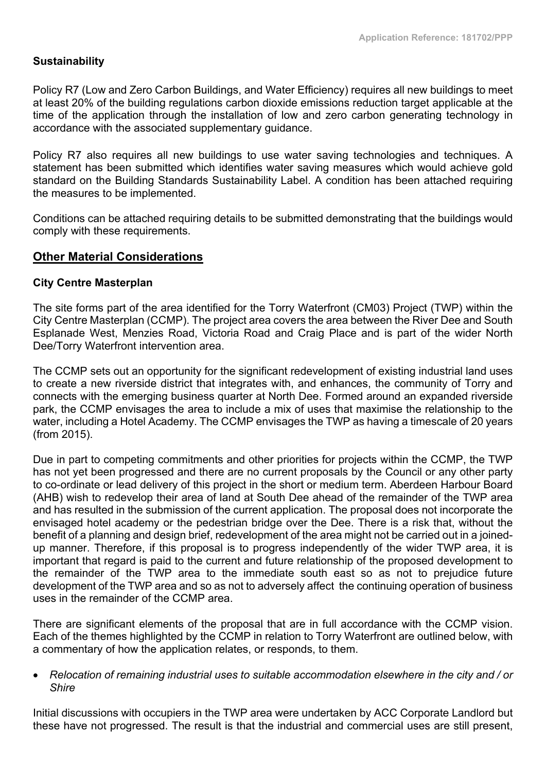### **Sustainability**

Policy R7 (Low and Zero Carbon Buildings, and Water Efficiency) requires all new buildings to meet at least 20% of the building regulations carbon dioxide emissions reduction target applicable at the time of the application through the installation of low and zero carbon generating technology in accordance with the associated supplementary guidance.

Policy R7 also requires all new buildings to use water saving technologies and techniques. A statement has been submitted which identifies water saving measures which would achieve gold standard on the Building Standards Sustainability Label. A condition has been attached requiring the measures to be implemented.

Conditions can be attached requiring details to be submitted demonstrating that the buildings would comply with these requirements.

### **Other Material Considerations**

#### **City Centre Masterplan**

The site forms part of the area identified for the Torry Waterfront (CM03) Project (TWP) within the City Centre Masterplan (CCMP). The project area covers the area between the River Dee and South Esplanade West, Menzies Road, Victoria Road and Craig Place and is part of the wider North Dee/Torry Waterfront intervention area.

The CCMP sets out an opportunity for the significant redevelopment of existing industrial land uses to create a new riverside district that integrates with, and enhances, the community of Torry and connects with the emerging business quarter at North Dee. Formed around an expanded riverside park, the CCMP envisages the area to include a mix of uses that maximise the relationship to the water, including a Hotel Academy. The CCMP envisages the TWP as having a timescale of 20 years (from 2015).

Due in part to competing commitments and other priorities for projects within the CCMP, the TWP has not yet been progressed and there are no current proposals by the Council or any other party to co-ordinate or lead delivery of this project in the short or medium term. Aberdeen Harbour Board (AHB) wish to redevelop their area of land at South Dee ahead of the remainder of the TWP area and has resulted in the submission of the current application. The proposal does not incorporate the envisaged hotel academy or the pedestrian bridge over the Dee. There is a risk that, without the benefit of a planning and design brief, redevelopment of the area might not be carried out in a joinedup manner. Therefore, if this proposal is to progress independently of the wider TWP area, it is important that regard is paid to the current and future relationship of the proposed development to the remainder of the TWP area to the immediate south east so as not to prejudice future development of the TWP area and so as not to adversely affect the continuing operation of business uses in the remainder of the CCMP area.

There are significant elements of the proposal that are in full accordance with the CCMP vision. Each of the themes highlighted by the CCMP in relation to Torry Waterfront are outlined below, with a commentary of how the application relates, or responds, to them.

#### *Relocation of remaining industrial uses to suitable accommodation elsewhere in the city and / or Shire*

Initial discussions with occupiers in the TWP area were undertaken by ACC Corporate Landlord but these have not progressed. The result is that the industrial and commercial uses are still present,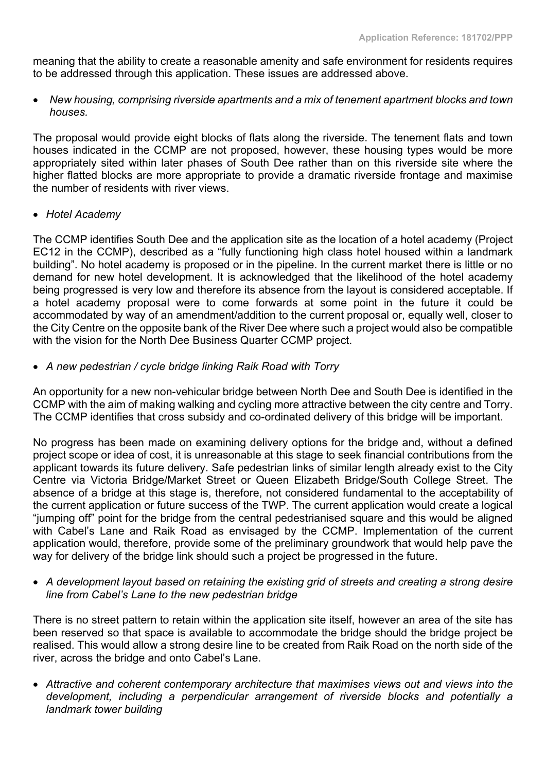meaning that the ability to create a reasonable amenity and safe environment for residents requires to be addressed through this application. These issues are addressed above.

 *New housing, comprising riverside apartments and a mix of tenement apartment blocks and town houses.*

The proposal would provide eight blocks of flats along the riverside. The tenement flats and town houses indicated in the CCMP are not proposed, however, these housing types would be more appropriately sited within later phases of South Dee rather than on this riverside site where the higher flatted blocks are more appropriate to provide a dramatic riverside frontage and maximise the number of residents with river views.

*Hotel Academy*

The CCMP identifies South Dee and the application site as the location of a hotel academy (Project EC12 in the CCMP), described as a "fully functioning high class hotel housed within a landmark building". No hotel academy is proposed or in the pipeline. In the current market there is little or no demand for new hotel development. It is acknowledged that the likelihood of the hotel academy being progressed is very low and therefore its absence from the layout is considered acceptable. If a hotel academy proposal were to come forwards at some point in the future it could be accommodated by way of an amendment/addition to the current proposal or, equally well, closer to the City Centre on the opposite bank of the River Dee where such a project would also be compatible with the vision for the North Dee Business Quarter CCMP project.

*A new pedestrian / cycle bridge linking Raik Road with Torry*

An opportunity for a new non-vehicular bridge between North Dee and South Dee is identified in the CCMP with the aim of making walking and cycling more attractive between the city centre and Torry. The CCMP identifies that cross subsidy and co-ordinated delivery of this bridge will be important.

No progress has been made on examining delivery options for the bridge and, without a defined project scope or idea of cost, it is unreasonable at this stage to seek financial contributions from the applicant towards its future delivery. Safe pedestrian links of similar length already exist to the City Centre via Victoria Bridge/Market Street or Queen Elizabeth Bridge/South College Street. The absence of a bridge at this stage is, therefore, not considered fundamental to the acceptability of the current application or future success of the TWP. The current application would create a logical "jumping off" point for the bridge from the central pedestrianised square and this would be aligned with Cabel's Lane and Raik Road as envisaged by the CCMP. Implementation of the current application would, therefore, provide some of the preliminary groundwork that would help pave the way for delivery of the bridge link should such a project be progressed in the future.

 *A development layout based on retaining the existing grid of streets and creating a strong desire line from Cabel's Lane to the new pedestrian bridge*

There is no street pattern to retain within the application site itself, however an area of the site has been reserved so that space is available to accommodate the bridge should the bridge project be realised. This would allow a strong desire line to be created from Raik Road on the north side of the river, across the bridge and onto Cabel's Lane.

 *Attractive and coherent contemporary architecture that maximises views out and views into the development, including a perpendicular arrangement of riverside blocks and potentially a landmark tower building*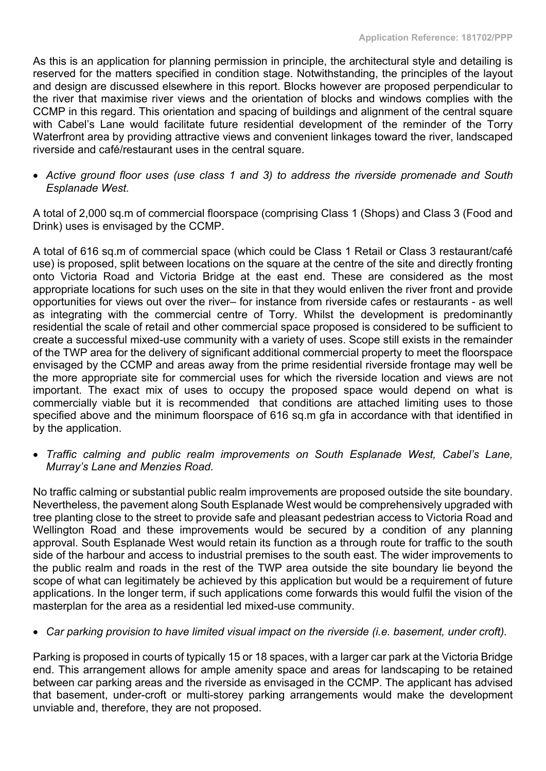As this is an application for planning permission in principle, the architectural style and detailing is reserved for the matters specified in condition stage. Notwithstanding, the principles of the layout and design are discussed elsewhere in this report. Blocks however are proposed perpendicular to the river that maximise river views and the orientation of blocks and windows complies with the CCMP in this regard. This orientation and spacing of buildings and alignment of the central square with Cabel's Lane would facilitate future residential development of the reminder of the Torry Waterfront area by providing attractive views and convenient linkages toward the river, landscaped riverside and café/restaurant uses in the central square.

 *Active ground floor uses (use class 1 and 3) to address the riverside promenade and South Esplanade West.*

A total of 2,000 sq.m of commercial floorspace (comprising Class 1 (Shops) and Class 3 (Food and Drink) uses is envisaged by the CCMP.

A total of 616 sq.m of commercial space (which could be Class 1 Retail or Class 3 restaurant/café use) is proposed, split between locations on the square at the centre of the site and directly fronting onto Victoria Road and Victoria Bridge at the east end. These are considered as the most appropriate locations for such uses on the site in that they would enliven the river front and provide opportunities for views out over the river– for instance from riverside cafes or restaurants - as well as integrating with the commercial centre of Torry. Whilst the development is predominantly residential the scale of retail and other commercial space proposed is considered to be sufficient to create a successful mixed-use community with a variety of uses. Scope still exists in the remainder of the TWP area for the delivery of significant additional commercial property to meet the floorspace envisaged by the CCMP and areas away from the prime residential riverside frontage may well be the more appropriate site for commercial uses for which the riverside location and views are not important. The exact mix of uses to occupy the proposed space would depend on what is commercially viable but it is recommended that conditions are attached limiting uses to those specified above and the minimum floorspace of 616 sq.m gfa in accordance with that identified in by the application.

 *Traffic calming and public realm improvements on South Esplanade West, Cabel's Lane, Murray's Lane and Menzies Road.*

No traffic calming or substantial public realm improvements are proposed outside the site boundary. Nevertheless, the pavement along South Esplanade West would be comprehensively upgraded with tree planting close to the street to provide safe and pleasant pedestrian access to Victoria Road and Wellington Road and these improvements would be secured by a condition of any planning approval. South Esplanade West would retain its function as a through route for traffic to the south side of the harbour and access to industrial premises to the south east. The wider improvements to the public realm and roads in the rest of the TWP area outside the site boundary lie beyond the scope of what can legitimately be achieved by this application but would be a requirement of future applications. In the longer term, if such applications come forwards this would fulfil the vision of the masterplan for the area as a residential led mixed-use community.

### *Car parking provision to have limited visual impact on the riverside (i.e. basement, under croft).*

Parking is proposed in courts of typically 15 or 18 spaces, with a larger car park at the Victoria Bridge end. This arrangement allows for ample amenity space and areas for landscaping to be retained between car parking areas and the riverside as envisaged in the CCMP. The applicant has advised that basement, under-croft or multi-storey parking arrangements would make the development unviable and, therefore, they are not proposed.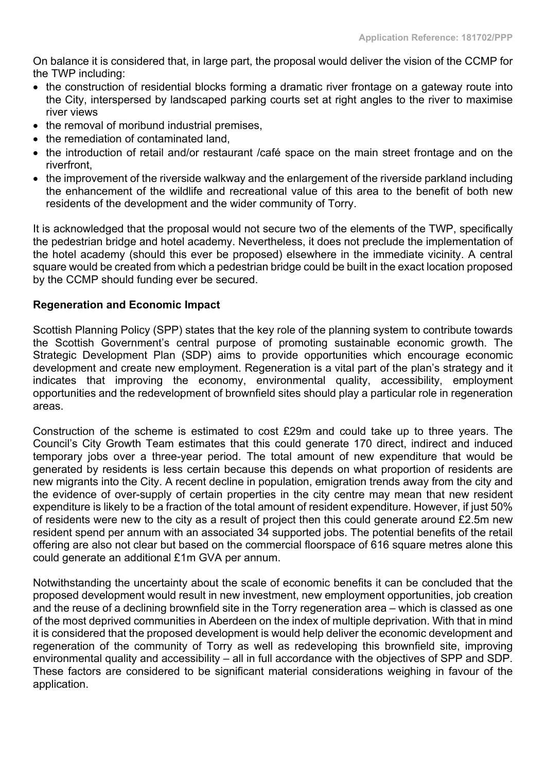On balance it is considered that, in large part, the proposal would deliver the vision of the CCMP for the TWP including:

- the construction of residential blocks forming a dramatic river frontage on a gateway route into the City, interspersed by landscaped parking courts set at right angles to the river to maximise river views
- the removal of moribund industrial premises,
- the remediation of contaminated land.
- the introduction of retail and/or restaurant /café space on the main street frontage and on the riverfront,
- the improvement of the riverside walkway and the enlargement of the riverside parkland including the enhancement of the wildlife and recreational value of this area to the benefit of both new residents of the development and the wider community of Torry.

It is acknowledged that the proposal would not secure two of the elements of the TWP, specifically the pedestrian bridge and hotel academy. Nevertheless, it does not preclude the implementation of the hotel academy (should this ever be proposed) elsewhere in the immediate vicinity. A central square would be created from which a pedestrian bridge could be built in the exact location proposed by the CCMP should funding ever be secured.

### **Regeneration and Economic Impact**

Scottish Planning Policy (SPP) states that the key role of the planning system to contribute towards the Scottish Government's central purpose of promoting sustainable economic growth. The Strategic Development Plan (SDP) aims to provide opportunities which encourage economic development and create new employment. Regeneration is a vital part of the plan's strategy and it indicates that improving the economy, environmental quality, accessibility, employment opportunities and the redevelopment of brownfield sites should play a particular role in regeneration areas.

Construction of the scheme is estimated to cost £29m and could take up to three years. The Council's City Growth Team estimates that this could generate 170 direct, indirect and induced temporary jobs over a three-year period. The total amount of new expenditure that would be generated by residents is less certain because this depends on what proportion of residents are new migrants into the City. A recent decline in population, emigration trends away from the city and the evidence of over-supply of certain properties in the city centre may mean that new resident expenditure is likely to be a fraction of the total amount of resident expenditure. However, if just 50% of residents were new to the city as a result of project then this could generate around £2.5m new resident spend per annum with an associated 34 supported jobs. The potential benefits of the retail offering are also not clear but based on the commercial floorspace of 616 square metres alone this could generate an additional £1m GVA per annum.

Notwithstanding the uncertainty about the scale of economic benefits it can be concluded that the proposed development would result in new investment, new employment opportunities, job creation and the reuse of a declining brownfield site in the Torry regeneration area – which is classed as one of the most deprived communities in Aberdeen on the index of multiple deprivation. With that in mind it is considered that the proposed development is would help deliver the economic development and regeneration of the community of Torry as well as redeveloping this brownfield site, improving environmental quality and accessibility – all in full accordance with the objectives of SPP and SDP. These factors are considered to be significant material considerations weighing in favour of the application.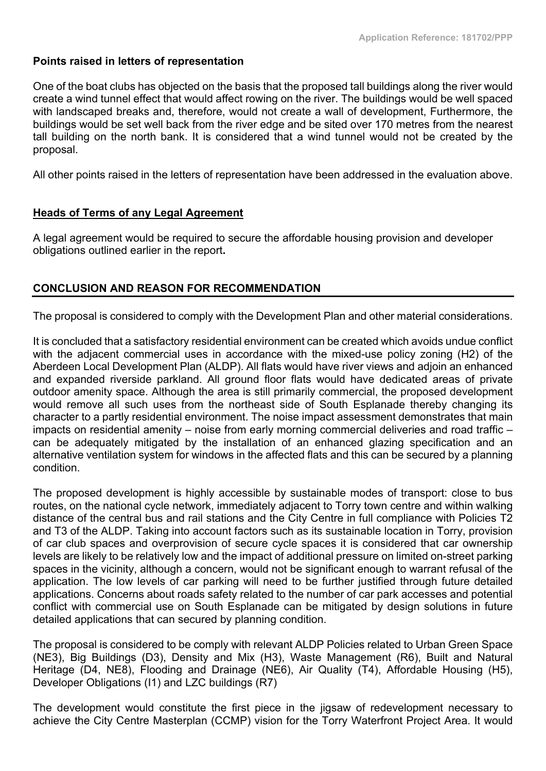### **Points raised in letters of representation**

One of the boat clubs has objected on the basis that the proposed tall buildings along the river would create a wind tunnel effect that would affect rowing on the river. The buildings would be well spaced with landscaped breaks and, therefore, would not create a wall of development, Furthermore, the buildings would be set well back from the river edge and be sited over 170 metres from the nearest tall building on the north bank. It is considered that a wind tunnel would not be created by the proposal.

All other points raised in the letters of representation have been addressed in the evaluation above.

### **Heads of Terms of any Legal Agreement**

A legal agreement would be required to secure the affordable housing provision and developer obligations outlined earlier in the report**.**

### **CONCLUSION AND REASON FOR RECOMMENDATION**

The proposal is considered to comply with the Development Plan and other material considerations.

It is concluded that a satisfactory residential environment can be created which avoids undue conflict with the adjacent commercial uses in accordance with the mixed-use policy zoning (H2) of the Aberdeen Local Development Plan (ALDP). All flats would have river views and adjoin an enhanced and expanded riverside parkland. All ground floor flats would have dedicated areas of private outdoor amenity space. Although the area is still primarily commercial, the proposed development would remove all such uses from the northeast side of South Esplanade thereby changing its character to a partly residential environment. The noise impact assessment demonstrates that main impacts on residential amenity – noise from early morning commercial deliveries and road traffic – can be adequately mitigated by the installation of an enhanced glazing specification and an alternative ventilation system for windows in the affected flats and this can be secured by a planning condition.

The proposed development is highly accessible by sustainable modes of transport: close to bus routes, on the national cycle network, immediately adjacent to Torry town centre and within walking distance of the central bus and rail stations and the City Centre in full compliance with Policies T2 and T3 of the ALDP. Taking into account factors such as its sustainable location in Torry, provision of car club spaces and overprovision of secure cycle spaces it is considered that car ownership levels are likely to be relatively low and the impact of additional pressure on limited on-street parking spaces in the vicinity, although a concern, would not be significant enough to warrant refusal of the application. The low levels of car parking will need to be further justified through future detailed applications. Concerns about roads safety related to the number of car park accesses and potential conflict with commercial use on South Esplanade can be mitigated by design solutions in future detailed applications that can secured by planning condition.

The proposal is considered to be comply with relevant ALDP Policies related to Urban Green Space (NE3), Big Buildings (D3), Density and Mix (H3), Waste Management (R6), Built and Natural Heritage (D4, NE8), Flooding and Drainage (NE6), Air Quality (T4), Affordable Housing (H5), Developer Obligations (I1) and LZC buildings (R7)

The development would constitute the first piece in the jigsaw of redevelopment necessary to achieve the City Centre Masterplan (CCMP) vision for the Torry Waterfront Project Area. It would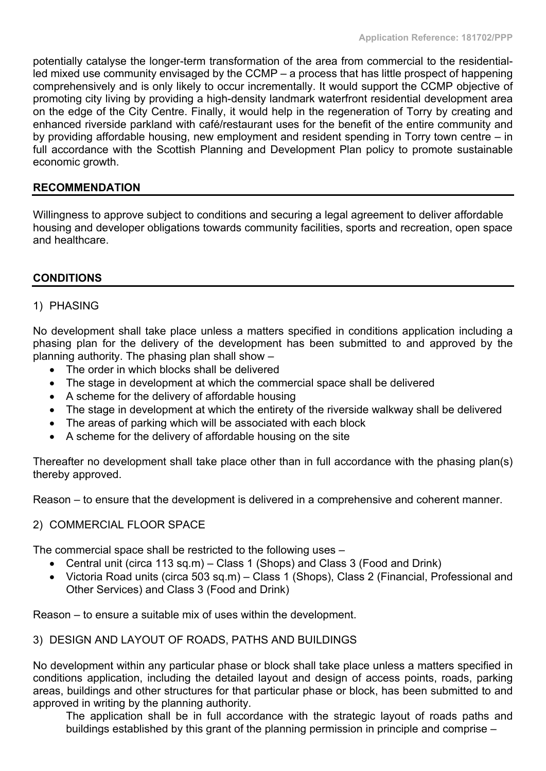potentially catalyse the longer-term transformation of the area from commercial to the residentialled mixed use community envisaged by the CCMP – a process that has little prospect of happening comprehensively and is only likely to occur incrementally. It would support the CCMP objective of promoting city living by providing a high-density landmark waterfront residential development area on the edge of the City Centre. Finally, it would help in the regeneration of Torry by creating and enhanced riverside parkland with café/restaurant uses for the benefit of the entire community and by providing affordable housing, new employment and resident spending in Torry town centre – in full accordance with the Scottish Planning and Development Plan policy to promote sustainable economic growth.

### **RECOMMENDATION**

Willingness to approve subject to conditions and securing a legal agreement to deliver affordable housing and developer obligations towards community facilities, sports and recreation, open space and healthcare.

#### **CONDITIONS**

#### 1) PHASING

No development shall take place unless a matters specified in conditions application including a phasing plan for the delivery of the development has been submitted to and approved by the planning authority. The phasing plan shall show –

- The order in which blocks shall be delivered
- The stage in development at which the commercial space shall be delivered
- A scheme for the delivery of affordable housing
- The stage in development at which the entirety of the riverside walkway shall be delivered
- The areas of parking which will be associated with each block
- A scheme for the delivery of affordable housing on the site

Thereafter no development shall take place other than in full accordance with the phasing plan(s) thereby approved.

Reason – to ensure that the development is delivered in a comprehensive and coherent manner.

#### 2) COMMERCIAL FLOOR SPACE

The commercial space shall be restricted to the following uses –

- Central unit (circa 113 sq.m) Class 1 (Shops) and Class 3 (Food and Drink)
- Victoria Road units (circa 503 sq.m) Class 1 (Shops), Class 2 (Financial, Professional and Other Services) and Class 3 (Food and Drink)

Reason – to ensure a suitable mix of uses within the development.

#### 3) DESIGN AND LAYOUT OF ROADS, PATHS AND BUILDINGS

No development within any particular phase or block shall take place unless a matters specified in conditions application, including the detailed layout and design of access points, roads, parking areas, buildings and other structures for that particular phase or block, has been submitted to and approved in writing by the planning authority.

The application shall be in full accordance with the strategic layout of roads paths and buildings established by this grant of the planning permission in principle and comprise –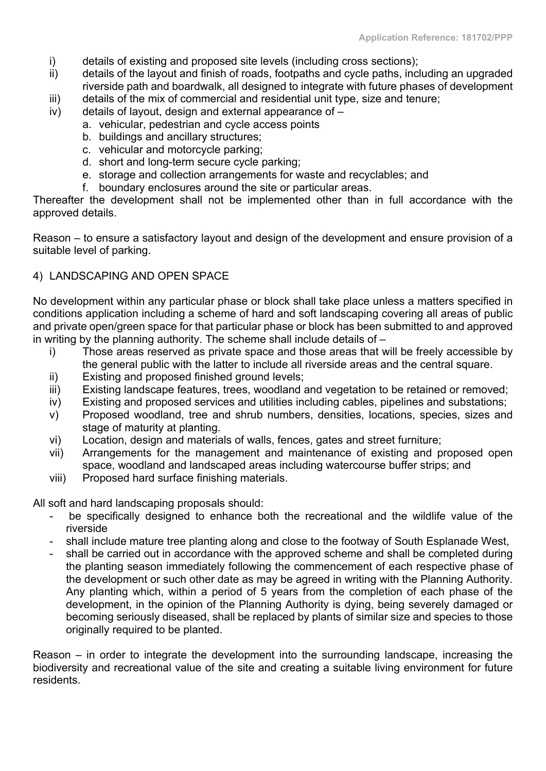- i) details of existing and proposed site levels (including cross sections);
- ii) details of the layout and finish of roads, footpaths and cycle paths, including an upgraded riverside path and boardwalk, all designed to integrate with future phases of development
- iii) details of the mix of commercial and residential unit type, size and tenure;
- iv) details of layout, design and external appearance of
	- a. vehicular, pedestrian and cycle access points
		- b. buildings and ancillary structures;
		- c. vehicular and motorcycle parking;
		- d. short and long-term secure cycle parking;
		- e. storage and collection arrangements for waste and recyclables; and
		- f. boundary enclosures around the site or particular areas.

Thereafter the development shall not be implemented other than in full accordance with the approved details.

Reason – to ensure a satisfactory layout and design of the development and ensure provision of a suitable level of parking.

#### 4) LANDSCAPING AND OPEN SPACE

No development within any particular phase or block shall take place unless a matters specified in conditions application including a scheme of hard and soft landscaping covering all areas of public and private open/green space for that particular phase or block has been submitted to and approved in writing by the planning authority. The scheme shall include details of –

- i) Those areas reserved as private space and those areas that will be freely accessible by the general public with the latter to include all riverside areas and the central square.
- ii) Existing and proposed finished ground levels;
- iii) Existing landscape features, trees, woodland and vegetation to be retained or removed;
- iv) Existing and proposed services and utilities including cables, pipelines and substations;
- v) Proposed woodland, tree and shrub numbers, densities, locations, species, sizes and stage of maturity at planting.
- vi) Location, design and materials of walls, fences, gates and street furniture;
- vii) Arrangements for the management and maintenance of existing and proposed open space, woodland and landscaped areas including watercourse buffer strips; and
- viii) Proposed hard surface finishing materials.

All soft and hard landscaping proposals should:

- be specifically designed to enhance both the recreational and the wildlife value of the riverside
- shall include mature tree planting along and close to the footway of South Esplanade West,
- shall be carried out in accordance with the approved scheme and shall be completed during the planting season immediately following the commencement of each respective phase of the development or such other date as may be agreed in writing with the Planning Authority. Any planting which, within a period of 5 years from the completion of each phase of the development, in the opinion of the Planning Authority is dying, being severely damaged or becoming seriously diseased, shall be replaced by plants of similar size and species to those originally required to be planted.

Reason – in order to integrate the development into the surrounding landscape, increasing the biodiversity and recreational value of the site and creating a suitable living environment for future residents.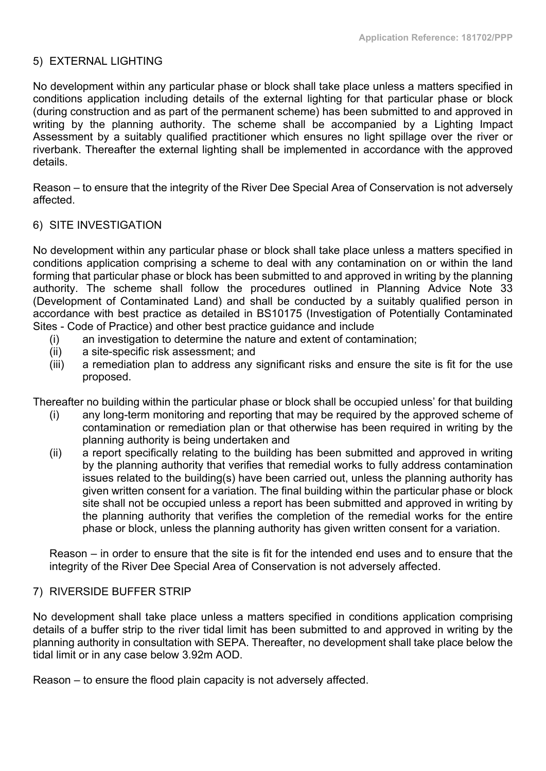### 5) EXTERNAL LIGHTING

No development within any particular phase or block shall take place unless a matters specified in conditions application including details of the external lighting for that particular phase or block (during construction and as part of the permanent scheme) has been submitted to and approved in writing by the planning authority. The scheme shall be accompanied by a Lighting Impact Assessment by a suitably qualified practitioner which ensures no light spillage over the river or riverbank. Thereafter the external lighting shall be implemented in accordance with the approved details.

Reason – to ensure that the integrity of the River Dee Special Area of Conservation is not adversely affected.

### 6) SITE INVESTIGATION

No development within any particular phase or block shall take place unless a matters specified in conditions application comprising a scheme to deal with any contamination on or within the land forming that particular phase or block has been submitted to and approved in writing by the planning authority. The scheme shall follow the procedures outlined in Planning Advice Note 33 (Development of Contaminated Land) and shall be conducted by a suitably qualified person in accordance with best practice as detailed in BS10175 (Investigation of Potentially Contaminated Sites - Code of Practice) and other best practice guidance and include

- (i) an investigation to determine the nature and extent of contamination;
- (ii) a site-specific risk assessment; and
- (iii) a remediation plan to address any significant risks and ensure the site is fit for the use proposed.

Thereafter no building within the particular phase or block shall be occupied unless' for that building

- (i) any long-term monitoring and reporting that may be required by the approved scheme of contamination or remediation plan or that otherwise has been required in writing by the planning authority is being undertaken and
- (ii) a report specifically relating to the building has been submitted and approved in writing by the planning authority that verifies that remedial works to fully address contamination issues related to the building(s) have been carried out, unless the planning authority has given written consent for a variation. The final building within the particular phase or block site shall not be occupied unless a report has been submitted and approved in writing by the planning authority that verifies the completion of the remedial works for the entire phase or block, unless the planning authority has given written consent for a variation.

Reason – in order to ensure that the site is fit for the intended end uses and to ensure that the integrity of the River Dee Special Area of Conservation is not adversely affected.

### 7) RIVERSIDE BUFFER STRIP

No development shall take place unless a matters specified in conditions application comprising details of a buffer strip to the river tidal limit has been submitted to and approved in writing by the planning authority in consultation with SEPA. Thereafter, no development shall take place below the tidal limit or in any case below 3.92m AOD.

Reason – to ensure the flood plain capacity is not adversely affected.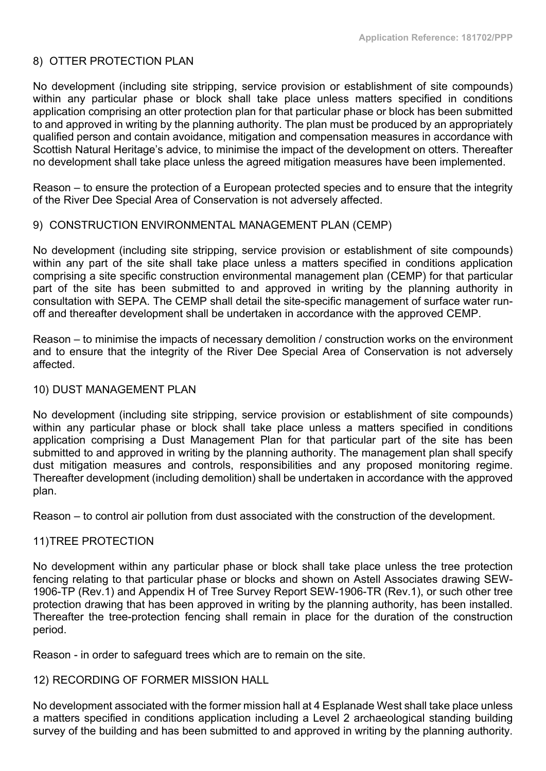### 8) OTTER PROTECTION PLAN

No development (including site stripping, service provision or establishment of site compounds) within any particular phase or block shall take place unless matters specified in conditions application comprising an otter protection plan for that particular phase or block has been submitted to and approved in writing by the planning authority. The plan must be produced by an appropriately qualified person and contain avoidance, mitigation and compensation measures in accordance with Scottish Natural Heritage's advice, to minimise the impact of the development on otters. Thereafter no development shall take place unless the agreed mitigation measures have been implemented.

Reason – to ensure the protection of a European protected species and to ensure that the integrity of the River Dee Special Area of Conservation is not adversely affected.

#### 9) CONSTRUCTION ENVIRONMENTAL MANAGEMENT PLAN (CEMP)

No development (including site stripping, service provision or establishment of site compounds) within any part of the site shall take place unless a matters specified in conditions application comprising a site specific construction environmental management plan (CEMP) for that particular part of the site has been submitted to and approved in writing by the planning authority in consultation with SEPA. The CEMP shall detail the site-specific management of surface water runoff and thereafter development shall be undertaken in accordance with the approved CEMP.

Reason – to minimise the impacts of necessary demolition / construction works on the environment and to ensure that the integrity of the River Dee Special Area of Conservation is not adversely affected.

#### 10) DUST MANAGEMENT PLAN

No development (including site stripping, service provision or establishment of site compounds) within any particular phase or block shall take place unless a matters specified in conditions application comprising a Dust Management Plan for that particular part of the site has been submitted to and approved in writing by the planning authority. The management plan shall specify dust mitigation measures and controls, responsibilities and any proposed monitoring regime. Thereafter development (including demolition) shall be undertaken in accordance with the approved plan.

Reason – to control air pollution from dust associated with the construction of the development.

### 11)TREE PROTECTION

No development within any particular phase or block shall take place unless the tree protection fencing relating to that particular phase or blocks and shown on Astell Associates drawing SEW-1906-TP (Rev.1) and Appendix H of Tree Survey Report SEW-1906-TR (Rev.1), or such other tree protection drawing that has been approved in writing by the planning authority, has been installed. Thereafter the tree-protection fencing shall remain in place for the duration of the construction period.

Reason - in order to safeguard trees which are to remain on the site.

#### 12) RECORDING OF FORMER MISSION HALL

No development associated with the former mission hall at 4 Esplanade West shall take place unless a matters specified in conditions application including a Level 2 archaeological standing building survey of the building and has been submitted to and approved in writing by the planning authority.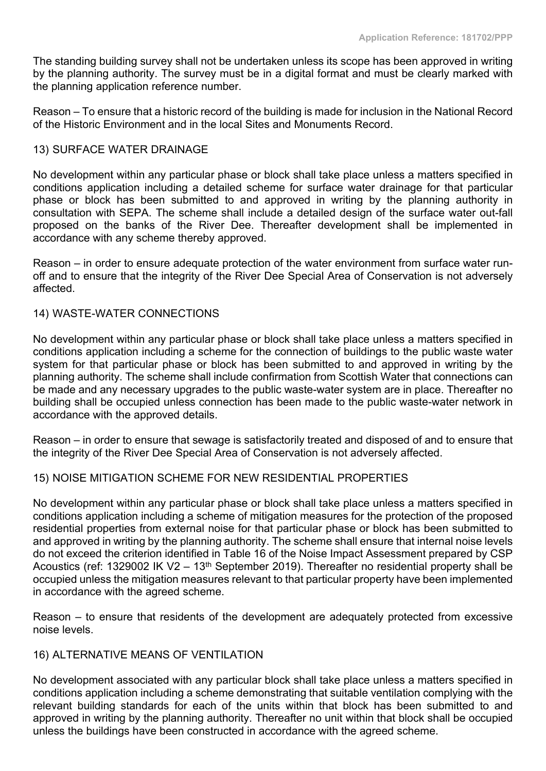The standing building survey shall not be undertaken unless its scope has been approved in writing by the planning authority. The survey must be in a digital format and must be clearly marked with the planning application reference number.

Reason – To ensure that a historic record of the building is made for inclusion in the National Record of the Historic Environment and in the local Sites and Monuments Record.

### 13) SURFACE WATER DRAINAGE

No development within any particular phase or block shall take place unless a matters specified in conditions application including a detailed scheme for surface water drainage for that particular phase or block has been submitted to and approved in writing by the planning authority in consultation with SEPA. The scheme shall include a detailed design of the surface water out-fall proposed on the banks of the River Dee. Thereafter development shall be implemented in accordance with any scheme thereby approved.

Reason – in order to ensure adequate protection of the water environment from surface water runoff and to ensure that the integrity of the River Dee Special Area of Conservation is not adversely affected.

### 14) WASTE-WATER CONNECTIONS

No development within any particular phase or block shall take place unless a matters specified in conditions application including a scheme for the connection of buildings to the public waste water system for that particular phase or block has been submitted to and approved in writing by the planning authority. The scheme shall include confirmation from Scottish Water that connections can be made and any necessary upgrades to the public waste-water system are in place. Thereafter no building shall be occupied unless connection has been made to the public waste-water network in accordance with the approved details.

Reason – in order to ensure that sewage is satisfactorily treated and disposed of and to ensure that the integrity of the River Dee Special Area of Conservation is not adversely affected.

### 15) NOISE MITIGATION SCHEME FOR NEW RESIDENTIAL PROPERTIES

No development within any particular phase or block shall take place unless a matters specified in conditions application including a scheme of mitigation measures for the protection of the proposed residential properties from external noise for that particular phase or block has been submitted to and approved in writing by the planning authority. The scheme shall ensure that internal noise levels do not exceed the criterion identified in Table 16 of the Noise Impact Assessment prepared by CSP Acoustics (ref: 1329002 IK V2 – 13<sup>th</sup> September 2019). Thereafter no residential property shall be occupied unless the mitigation measures relevant to that particular property have been implemented in accordance with the agreed scheme.

Reason – to ensure that residents of the development are adequately protected from excessive noise levels.

### 16) ALTERNATIVE MEANS OF VENTILATION

No development associated with any particular block shall take place unless a matters specified in conditions application including a scheme demonstrating that suitable ventilation complying with the relevant building standards for each of the units within that block has been submitted to and approved in writing by the planning authority. Thereafter no unit within that block shall be occupied unless the buildings have been constructed in accordance with the agreed scheme.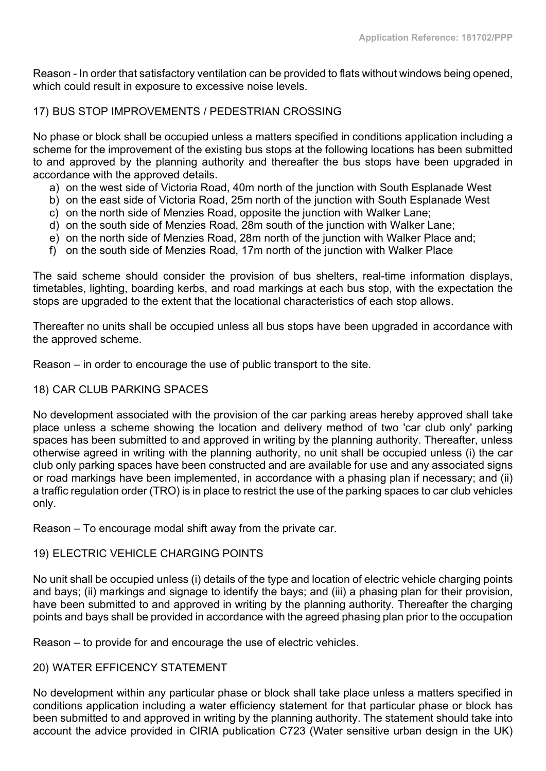Reason - In order that satisfactory ventilation can be provided to flats without windows being opened, which could result in exposure to excessive noise levels.

### 17) BUS STOP IMPROVEMENTS / PEDESTRIAN CROSSING

No phase or block shall be occupied unless a matters specified in conditions application including a scheme for the improvement of the existing bus stops at the following locations has been submitted to and approved by the planning authority and thereafter the bus stops have been upgraded in accordance with the approved details.

- a) on the west side of Victoria Road, 40m north of the junction with South Esplanade West
- b) on the east side of Victoria Road, 25m north of the junction with South Esplanade West
- c) on the north side of Menzies Road, opposite the junction with Walker Lane;
- d) on the south side of Menzies Road, 28m south of the junction with Walker Lane;
- e) on the north side of Menzies Road, 28m north of the junction with Walker Place and;
- f) on the south side of Menzies Road, 17m north of the junction with Walker Place

The said scheme should consider the provision of bus shelters, real-time information displays, timetables, lighting, boarding kerbs, and road markings at each bus stop, with the expectation the stops are upgraded to the extent that the locational characteristics of each stop allows.

Thereafter no units shall be occupied unless all bus stops have been upgraded in accordance with the approved scheme.

Reason – in order to encourage the use of public transport to the site.

### 18) CAR CLUB PARKING SPACES

No development associated with the provision of the car parking areas hereby approved shall take place unless a scheme showing the location and delivery method of two 'car club only' parking spaces has been submitted to and approved in writing by the planning authority. Thereafter, unless otherwise agreed in writing with the planning authority, no unit shall be occupied unless (i) the car club only parking spaces have been constructed and are available for use and any associated signs or road markings have been implemented, in accordance with a phasing plan if necessary; and (ii) a traffic regulation order (TRO) is in place to restrict the use of the parking spaces to car club vehicles only.

Reason – To encourage modal shift away from the private car.

# 19) ELECTRIC VEHICLE CHARGING POINTS

No unit shall be occupied unless (i) details of the type and location of electric vehicle charging points and bays; (ii) markings and signage to identify the bays; and (iii) a phasing plan for their provision, have been submitted to and approved in writing by the planning authority. Thereafter the charging points and bays shall be provided in accordance with the agreed phasing plan prior to the occupation

Reason – to provide for and encourage the use of electric vehicles.

### 20) WATER EFFICENCY STATEMENT

No development within any particular phase or block shall take place unless a matters specified in conditions application including a water efficiency statement for that particular phase or block has been submitted to and approved in writing by the planning authority. The statement should take into account the advice provided in CIRIA publication C723 (Water sensitive urban design in the UK)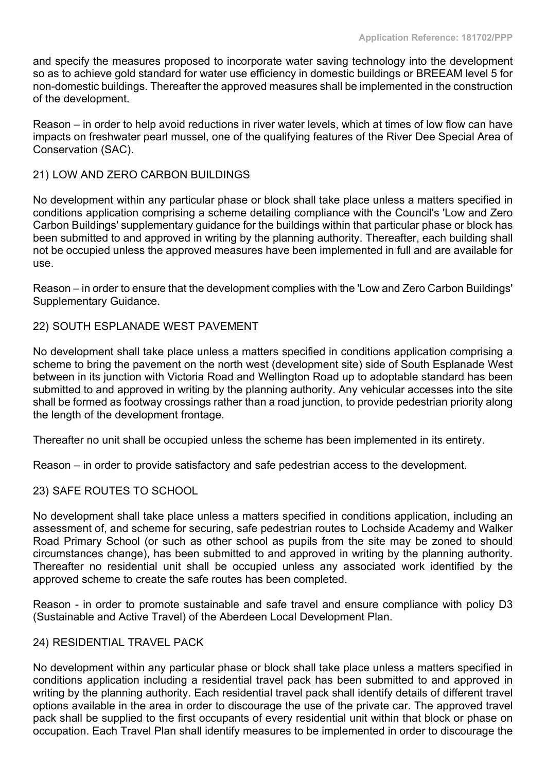and specify the measures proposed to incorporate water saving technology into the development so as to achieve gold standard for water use efficiency in domestic buildings or BREEAM level 5 for non-domestic buildings. Thereafter the approved measures shall be implemented in the construction of the development.

Reason – in order to help avoid reductions in river water levels, which at times of low flow can have impacts on freshwater pearl mussel, one of the qualifying features of the River Dee Special Area of Conservation (SAC).

### 21) LOW AND ZERO CARBON BUILDINGS

No development within any particular phase or block shall take place unless a matters specified in conditions application comprising a scheme detailing compliance with the Council's 'Low and Zero Carbon Buildings' supplementary guidance for the buildings within that particular phase or block has been submitted to and approved in writing by the planning authority. Thereafter, each building shall not be occupied unless the approved measures have been implemented in full and are available for use.

Reason – in order to ensure that the development complies with the 'Low and Zero Carbon Buildings' Supplementary Guidance.

#### 22) SOUTH ESPLANADE WEST PAVEMENT

No development shall take place unless a matters specified in conditions application comprising a scheme to bring the pavement on the north west (development site) side of South Esplanade West between in its junction with Victoria Road and Wellington Road up to adoptable standard has been submitted to and approved in writing by the planning authority. Any vehicular accesses into the site shall be formed as footway crossings rather than a road junction, to provide pedestrian priority along the length of the development frontage.

Thereafter no unit shall be occupied unless the scheme has been implemented in its entirety.

Reason – in order to provide satisfactory and safe pedestrian access to the development.

### 23) SAFE ROUTES TO SCHOOL

No development shall take place unless a matters specified in conditions application, including an assessment of, and scheme for securing, safe pedestrian routes to Lochside Academy and Walker Road Primary School (or such as other school as pupils from the site may be zoned to should circumstances change), has been submitted to and approved in writing by the planning authority. Thereafter no residential unit shall be occupied unless any associated work identified by the approved scheme to create the safe routes has been completed.

Reason - in order to promote sustainable and safe travel and ensure compliance with policy D3 (Sustainable and Active Travel) of the Aberdeen Local Development Plan.

### 24) RESIDENTIAL TRAVEL PACK

No development within any particular phase or block shall take place unless a matters specified in conditions application including a residential travel pack has been submitted to and approved in writing by the planning authority. Each residential travel pack shall identify details of different travel options available in the area in order to discourage the use of the private car. The approved travel pack shall be supplied to the first occupants of every residential unit within that block or phase on occupation. Each Travel Plan shall identify measures to be implemented in order to discourage the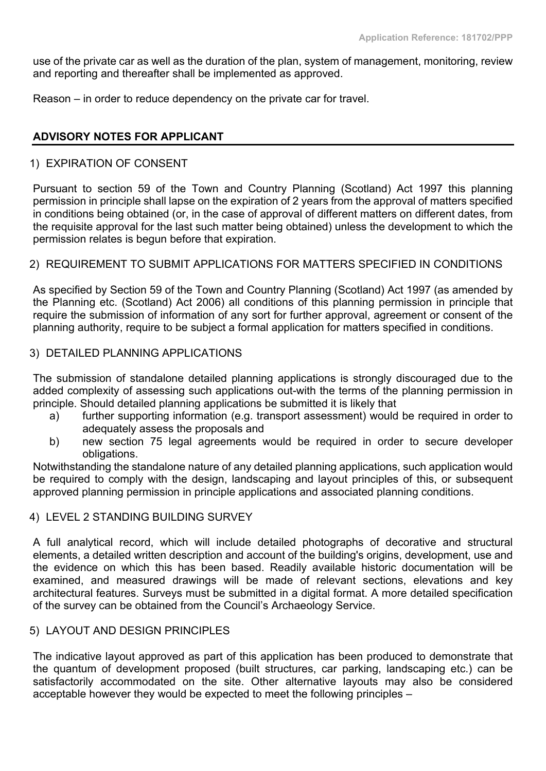use of the private car as well as the duration of the plan, system of management, monitoring, review and reporting and thereafter shall be implemented as approved.

Reason – in order to reduce dependency on the private car for travel.

### **ADVISORY NOTES FOR APPLICANT**

### 1) EXPIRATION OF CONSENT

Pursuant to section 59 of the Town and Country Planning (Scotland) Act 1997 this planning permission in principle shall lapse on the expiration of 2 years from the approval of matters specified in conditions being obtained (or, in the case of approval of different matters on different dates, from the requisite approval for the last such matter being obtained) unless the development to which the permission relates is begun before that expiration.

#### 2) REQUIREMENT TO SUBMIT APPLICATIONS FOR MATTERS SPECIFIED IN CONDITIONS

As specified by Section 59 of the Town and Country Planning (Scotland) Act 1997 (as amended by the Planning etc. (Scotland) Act 2006) all conditions of this planning permission in principle that require the submission of information of any sort for further approval, agreement or consent of the planning authority, require to be subject a formal application for matters specified in conditions.

### 3) DETAILED PLANNING APPLICATIONS

The submission of standalone detailed planning applications is strongly discouraged due to the added complexity of assessing such applications out-with the terms of the planning permission in principle. Should detailed planning applications be submitted it is likely that

- a) further supporting information (e.g. transport assessment) would be required in order to adequately assess the proposals and
- b) new section 75 legal agreements would be required in order to secure developer obligations.

Notwithstanding the standalone nature of any detailed planning applications, such application would be required to comply with the design, landscaping and layout principles of this, or subsequent approved planning permission in principle applications and associated planning conditions.

#### 4) LEVEL 2 STANDING BUILDING SURVEY

A full analytical record, which will include detailed photographs of decorative and structural elements, a detailed written description and account of the building's origins, development, use and the evidence on which this has been based. Readily available historic documentation will be examined, and measured drawings will be made of relevant sections, elevations and key architectural features. Surveys must be submitted in a digital format. A more detailed specification of the survey can be obtained from the Council's Archaeology Service.

#### 5) LAYOUT AND DESIGN PRINCIPLES

The indicative layout approved as part of this application has been produced to demonstrate that the quantum of development proposed (built structures, car parking, landscaping etc.) can be satisfactorily accommodated on the site. Other alternative layouts may also be considered acceptable however they would be expected to meet the following principles –